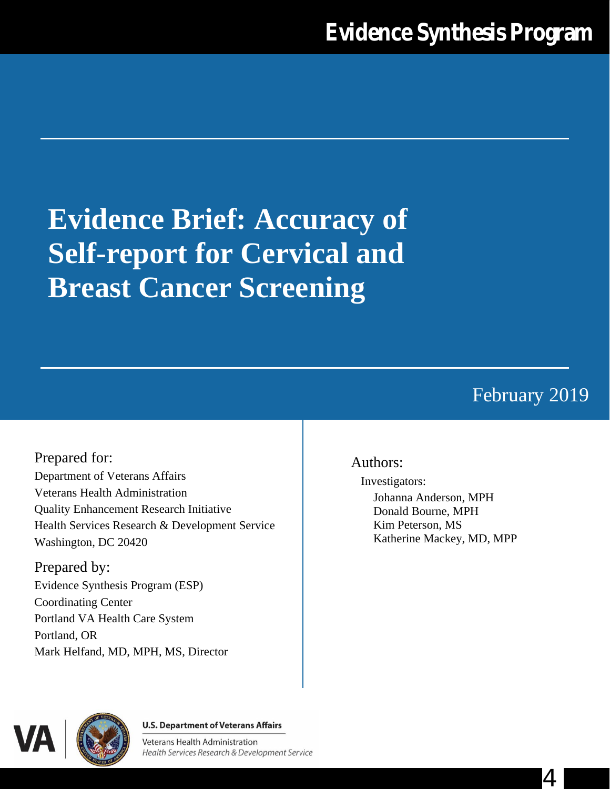# **Evidence Brief: Accuracy of Self-report for Cervical and Breast Cancer Screening**

# February 2019

4

# Prepared for: Department of Veterans Affairs Veterans Health Administration Quality Enhancement Research Initiative Health Services Research & Development Service Washington, DC 20420

Prepared by: Evidence Synthesis Program (ESP) Coordinating Center Portland VA Health Care System Portland, OR Mark Helfand, MD, MPH, MS, Director

## Authors:

Investigators:

Johanna Anderson, MPH Donald Bourne, MPH Kim Peterson, MS Katherine Mackey, MD, MPP



#### **U.S. Department of Veterans Affairs**

**Veterans Health Administration** Health Services Research & Development Service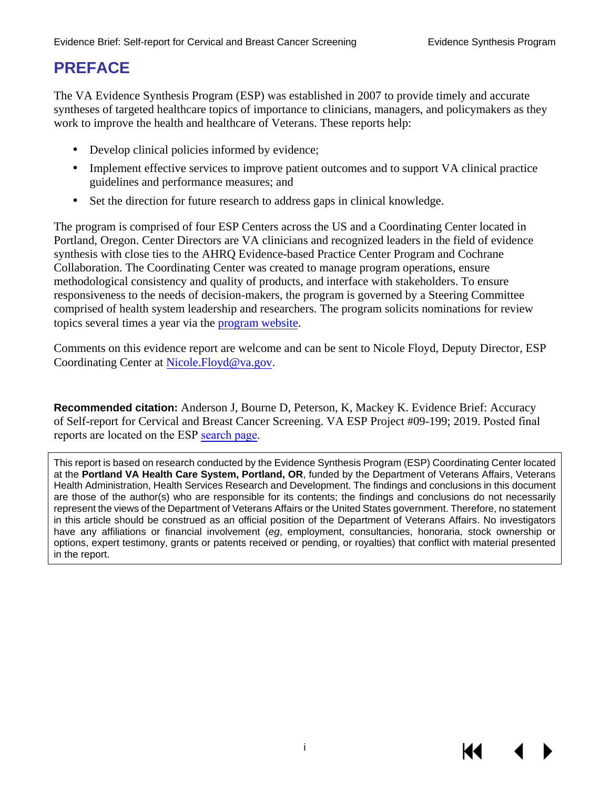# **PREFACE**

The VA Evidence Synthesis Program (ESP) was established in 2007 to provide timely and accurate syntheses of targeted healthcare topics of importance to clinicians, managers, and policymakers as they work to improve the health and healthcare of Veterans. These reports help:

- Develop clinical policies informed by evidence;
- Implement effective services to improve patient outcomes and to support VA clinical practice guidelines and performance measures; and
- ä, Set the direction for future research to address gaps in clinical knowledge.

The program is comprised of four ESP Centers across the US and a Coordinating Center located in Portland, Oregon. Center Directors are VA clinicians and recognized leaders in the field of evidence synthesis with close ties to the AHRQ Evidence-based Practice Center Program and Cochrane Collaboration. The Coordinating Center was created to manage program operations, ensure methodological consistency and quality of products, and interface with stakeholders. To ensure responsiveness to the needs of decision-makers, the program is governed by a Steering Committee comprised of health system leadership and researchers. The program solicits nominations for review topics several times a year via the [program website.](https://www.hsrd.research.va.gov/publications/esp/TopicNomination.cfm)

Comments on this evidence report are welcome and can be sent to Nicole Floyd, Deputy Director, ESP Coordinating Center at [Nicole.Floyd@va.gov.](mailto:Nicole.Floyd@va.gov)

**Recommended citation:** Anderson J, Bourne D, Peterson, K, Mackey K. Evidence Brief: Accuracy of Self-report for Cervical and Breast Cancer Screening. VA ESP Project #09-199; 2019. Posted final reports are located on the ESP [search page](https://www.hsrd.research.va.gov/publications/esp/reports.cfm).

This report is based on research conducted by the Evidence Synthesis Program (ESP) Coordinating Center located at the **Portland VA Health Care System, Portland, OR**, funded by the Department of Veterans Affairs, Veterans Health Administration, Health Services Research and Development. The findings and conclusions in this document are those of the author(s) who are responsible for its contents; the findings and conclusions do not necessarily represent the views of the Department of Veterans Affairs or the United States government. Therefore, no statement in this article should be construed as an official position of the Department of Veterans Affairs. No investigators have any affiliations or financial involvement (*eg*, employment, consultancies, honoraria, stock ownership or options, expert testimony, grants or patents received or pending, or royalties) that conflict with material presented in the report.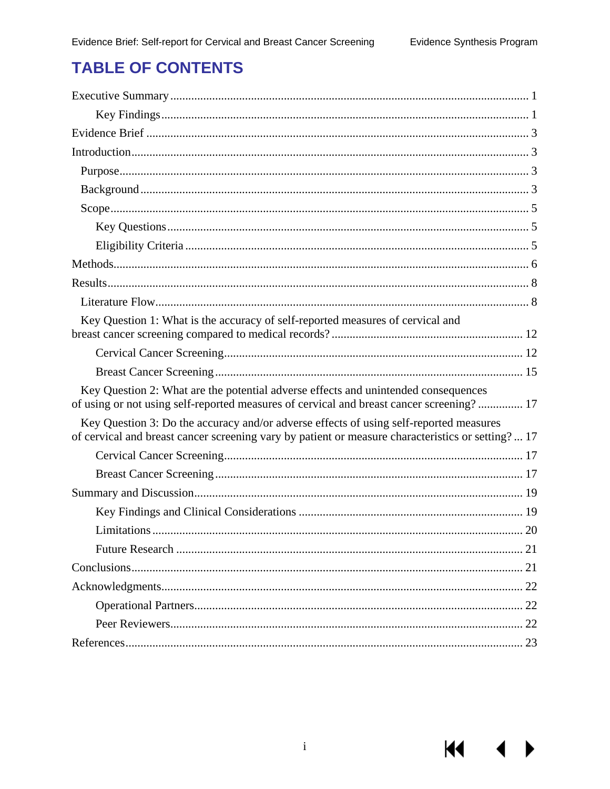KI I

# **TABLE OF CONTENTS**

| Key Question 1: What is the accuracy of self-reported measures of cervical and                                                                                                              |
|---------------------------------------------------------------------------------------------------------------------------------------------------------------------------------------------|
|                                                                                                                                                                                             |
|                                                                                                                                                                                             |
| Key Question 2: What are the potential adverse effects and unintended consequences<br>of using or not using self-reported measures of cervical and breast cancer screening? 17              |
| Key Question 3: Do the accuracy and/or adverse effects of using self-reported measures<br>of cervical and breast cancer screening vary by patient or measure characteristics or setting? 17 |
|                                                                                                                                                                                             |
|                                                                                                                                                                                             |
|                                                                                                                                                                                             |
|                                                                                                                                                                                             |
|                                                                                                                                                                                             |
|                                                                                                                                                                                             |
|                                                                                                                                                                                             |
|                                                                                                                                                                                             |
|                                                                                                                                                                                             |
|                                                                                                                                                                                             |
|                                                                                                                                                                                             |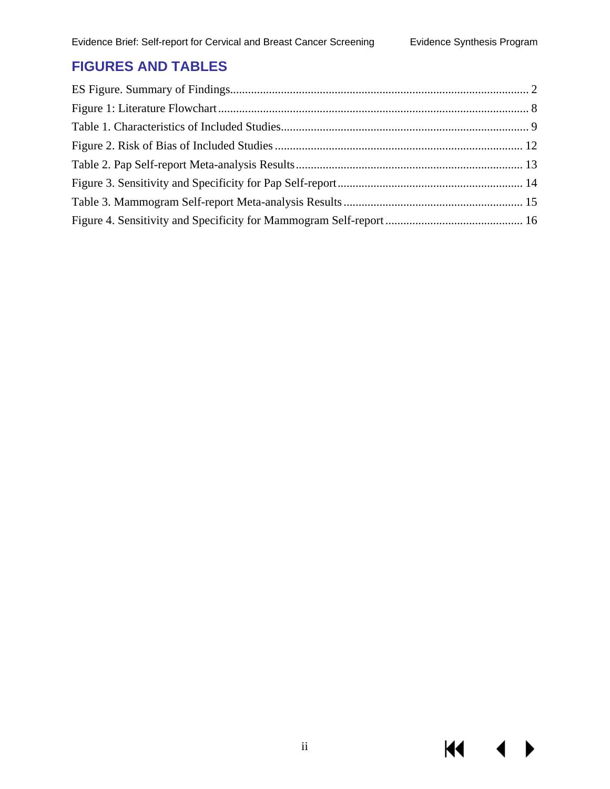$M = 1$ 

# **FIGURES AND TABLES**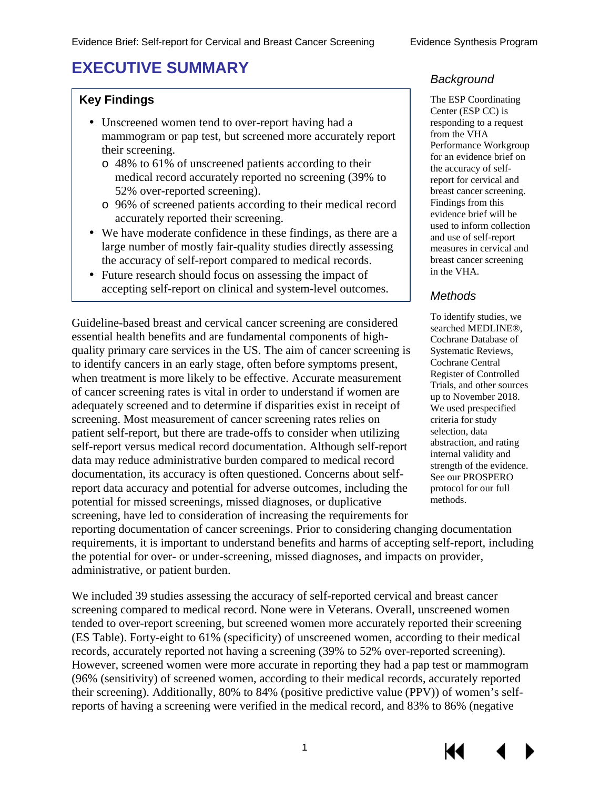# <span id="page-4-0"></span>**EXECUTIVE SUMMARY**

#### **Key Findings**

- Unscreened women tend to over-report having had a mammogram or pap test, but screened more accurately report their screening.
	- o 48% to 61% of unscreened patients according to their medical record accurately reported no screening (39% to 52% over-reported screening).
	- o 96% of screened patients according to their medical record accurately reported their screening.
- We have moderate confidence in these findings, as there are a large number of mostly fair-quality studies directly assessing the accuracy of self-report compared to medical records.
- Future research should focus on assessing the impact of accepting self-report on clinical and system-level outcomes.

To identify studies, we<br>
Guideline-based breast and cervical cancer screening are considered<br>
searched MEDLINE®,<br>
Cochrane Database of quality primary care services in the US. The aim of cancer screening is Systematic Reviews, to identify cancers in an early stage, often before symptoms present, Cochrane Central<br>when treatment is more likely to be effective. A counte measurement Register of Controlled when treatment is more likely to be effective. Accurate measurement Register of Controlled<br>Trials, and other sources of cancer screening rates is vital in order to understand if women are up to November 2018.<br>adequately screened and to determine if disparities exist in receipt of We used prespecified screening. Most measurement of cancer screening rates relies on criteria for study patient self-report, but there are trade-offs to consider when utilizing selection, data<br>self-report versus medical record documentation. Although self-report abstraction, and rating self-report versus medical record documentation. Although self-report abstraction, and rating data may reduce administrative burden compared to medical record<br>documentation, its accuracy is often questioned. Concerns about self-<br>See our PROSPERO report data accuracy and potential for adverse outcomes, including the protocol for our full potential for missed screenings, missed diagnoses, or duplicative methods. screening, have led to consideration of increasing the requirements for

#### *Background*

The ESP Coordinating Center (ESP CC) is responding to a request from the VHA Performance Workgroup for an evidence brief on the accuracy of selfreport for cervical and breast cancer screening. Findings from this evidence brief will be used to inform collection and use of self-report measures in cervical and breast cancer screening in the VHA.

#### *Methods*

reporting documentation of cancer screenings. Prior to considering changing documentation requirements, it is important to understand benefits and harms of accepting self-report, including the potential for over- or under-screening, missed diagnoses, and impacts on provider, administrative, or patient burden.

We included 39 studies assessing the accuracy of self-reported cervical and breast cancer screening compared to medical record. None were in Veterans. Overall, unscreened women tended to over-report screening, but screened women more accurately reported their screening (ES Table). Forty-eight to 61% (specificity) of unscreened women, according to their medical records, accurately reported not having a screening (39% to 52% over-reported screening). However, screened women were more accurate in reporting they had a pap test or mammogram (96% (sensitivity) of screened women, according to their medical records, accurately reported their screening). Additionally, 80% to 84% (positive predictive value (PPV)) of women's selfreports of having a screening were verified in the medical record, and 83% to 86% (negative

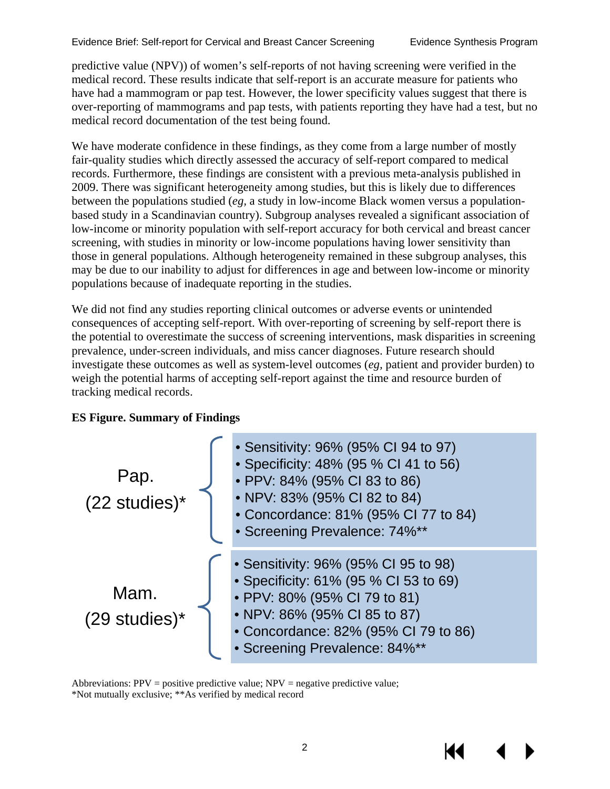predictive value (NPV)) of women's self-reports of not having screening were verified in the medical record. These results indicate that self-report is an accurate measure for patients who have had a mammogram or pap test. However, the lower specificity values suggest that there is over-reporting of mammograms and pap tests, with patients reporting they have had a test, but no medical record documentation of the test being found.

We have moderate confidence in these findings, as they come from a large number of mostly fair-quality studies which directly assessed the accuracy of self-report compared to medical records. Furthermore, these findings are consistent with a previous meta-analysis published in 2009. There was significant heterogeneity among studies, but this is likely due to differences between the populations studied (*eg,* a study in low-income Black women versus a populationbased study in a Scandinavian country). Subgroup analyses revealed a significant association of low-income or minority population with self-report accuracy for both cervical and breast cancer screening, with studies in minority or low-income populations having lower sensitivity than those in general populations. Although heterogeneity remained in these subgroup analyses, this may be due to our inability to adjust for differences in age and between low-income or minority populations because of inadequate reporting in the studies.

We did not find any studies reporting clinical outcomes or adverse events or unintended consequences of accepting self-report. With over-reporting of screening by self-report there is the potential to overestimate the success of screening interventions, mask disparities in screening prevalence, under-screen individuals, and miss cancer diagnoses. Future research should investigate these outcomes as well as system-level outcomes (*eg,* patient and provider burden) to weigh the potential harms of accepting self-report against the time and resource burden of tracking medical records.

#### <span id="page-5-0"></span>**ES Figure. Summary of Findings**



Abbreviations:  $PPV =$  positive predictive value;  $NPV =$  negative predictive value; \*Not mutually exclusive; \*\*As verified by medical record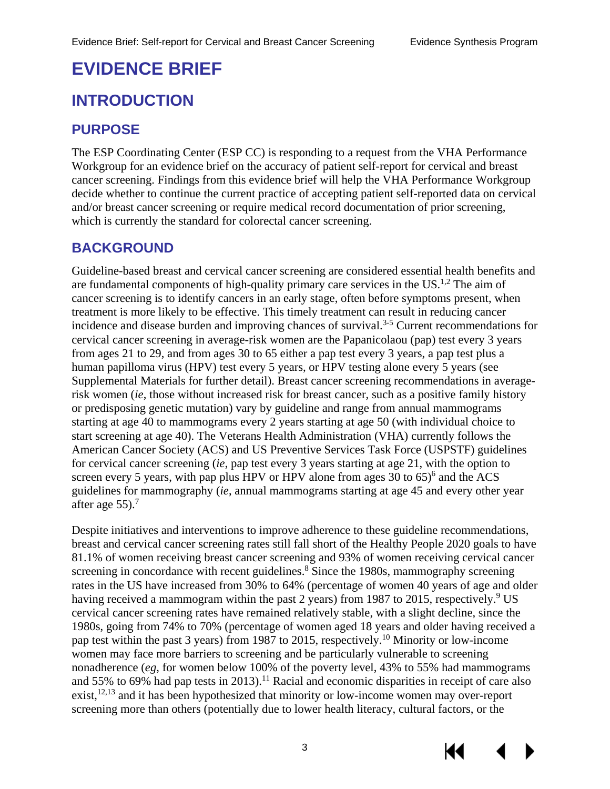# <span id="page-6-0"></span>**EVIDENCE BRIEF**

# <span id="page-6-1"></span>**INTRODUCTION**

# <span id="page-6-2"></span>**PURPOSE**

The ESP Coordinating Center (ESP CC) is responding to a request from the VHA Performance Workgroup for an evidence brief on the accuracy of patient self-report for cervical and breast cancer screening. Findings from this evidence brief will help the VHA Performance Workgroup decide whether to continue the current practice of accepting patient self-reported data on cervical and/or breast cancer screening or require medical record documentation of prior screening, which is currently the standard for colorectal cancer screening.

# <span id="page-6-3"></span>**BACKGROUND**

Guideline-based breast and cervical cancer screening are considered essential health benefits and are fundamental components of high-quality primary care services in the US.<sup>[1](#page-26-1)[,2](#page-26-2)</sup> The aim of cancer screening is to identify cancers in an early stage, often before symptoms present, when treatment is more likely to be effective. This timely treatment can result in reducing cancer incidence and disease burden and improving chances of survival. [3-5](#page-26-5) Current recommendations for cervical cancer screening in average-risk women are the Papanicolaou (pap) test every 3 years from ages 21 to 29, and from ages 30 to 65 either a pap test every 3 years, a pap test plus a human papilloma virus (HPV) test every 5 years, or HPV testing alone every 5 years (see Supplemental Materials for further detail). Breast cancer screening recommendations in averagerisk women (*ie*, those without increased risk for breast cancer, such as a positive family history or predisposing genetic mutation) vary by guideline and range from annual mammograms starting at age 40 to mammograms every 2 years starting at age 50 (with individual choice to start screening at age 40). The Veterans Health Administration (VHA) currently follows the American Cancer Society (ACS) and US Preventive Services Task Force (USPSTF) guidelines for cervical cancer screening (*ie*, pap test every 3 years starting at age 21, with the option to screen every 5 years, with pap plus HPV or HPV alone from ages 30 to [6](#page-26-5)5)<sup>6</sup> and the ACS guidelines for mammography (*ie*, annual mammograms starting at age 45 and every other year after age  $55$ ).<sup>[7](#page-26-5)</sup>

Despite initiatives and interventions to improve adherence to these guideline recommendations, breast and cervical cancer screening rates still fall short of the Healthy People 2020 goals to have 81.1% of women receiving breast cancer screening and 93% of women receiving cervical cancer screening in concordance with recent guidelines.<sup>[8](#page-26-5)</sup> Since the 1980s, mammography screening rates in the US have increased from 30% to 64% (percentage of women 40 years of age and older having received a mammogram within the past 2 years) from 1[9](#page-26-5)87 to 2015, respectively.<sup>9</sup> US cervical cancer screening rates have remained relatively stable, with a slight decline, since the 1980s, going from 74% to 70% (percentage of women aged 18 years and older having received a pap test within the past 3 years) from 1987 to 2015, respectively.[10](#page-26-5) Minority or low-income women may face more barriers to screening and be particularly vulnerable to screening nonadherence (*eg*, for women below 100% of the poverty level, 43% to 55% had mammograms and 55% to 69% had pap tests in 2013).<sup>11</sup> Racial and economic disparities in receipt of care also exist,<sup>[12,](#page-26-3)[13](#page-26-4)</sup> and it has been hypothesized that minority or low-income women may over-report screening more than others (potentially due to lower health literacy, cultural factors, or the

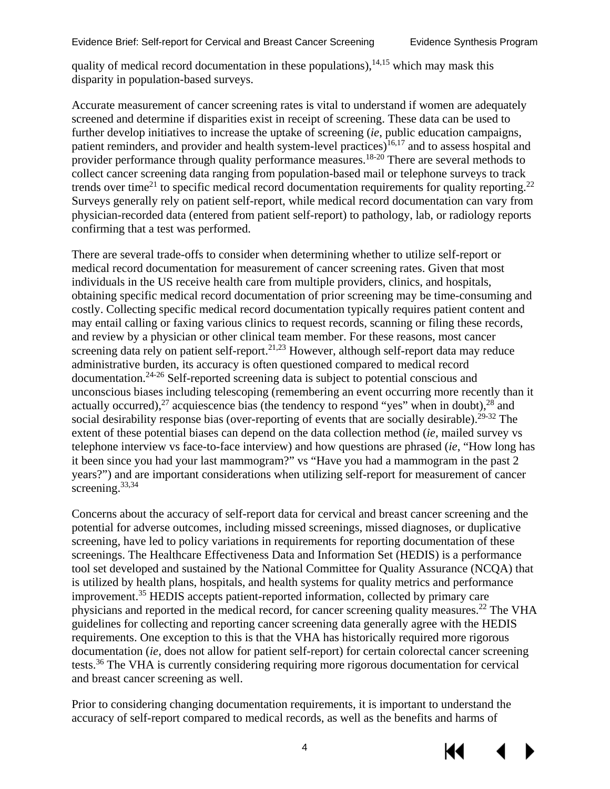quality of medical record documentation in these populations), $14,15$  $14,15$  which may mask this disparity in population-based surveys.

Accurate measurement of cancer screening rates is vital to understand if women are adequately screened and determine if disparities exist in receipt of screening. These data can be used to further develop initiatives to increase the uptake of screening (*ie*, public education campaigns, patient reminders, and provider and health system-level practices)<sup>[16,](#page-27-0)[17](#page-27-1)</sup> and to assess hospital and provider performance through quality performance measures.<sup>[18-20](#page-27-4)</sup> There are several methods to collect cancer screening data ranging from population-based mail or telephone surveys to track trends over time<sup>[21](#page-27-2)</sup> to specific medical record documentation requirements for quality reporting.<sup>22</sup> Surveys generally rely on patient self-report, while medical record documentation can vary from physician-recorded data (entered from patient self-report) to pathology, lab, or radiology reports confirming that a test was performed.

There are several trade-offs to consider when determining whether to utilize self-report or medical record documentation for measurement of cancer screening rates. Given that most individuals in the US receive health care from multiple providers, clinics, and hospitals, obtaining specific medical record documentation of prior screening may be time-consuming and costly. Collecting specific medical record documentation typically requires patient content and may entail calling or faxing various clinics to request records, scanning or filing these records, and review by a physician or other clinical team member. For these reasons, most cancer screening data rely on patient self-report.<sup>[21,](#page-27-2)[23](#page-27-3)</sup> However, although self-report data may reduce administrative burden, its accuracy is often questioned compared to medical record documentation. [24-26](#page-27-4) Self-reported screening data is subject to potential conscious and unconscious biases including telescoping (remembering an event occurring more recently than it actually occurred),<sup>[27](#page-27-4)</sup> acquiescence bias (the tendency to respond "yes" when in doubt),<sup>28</sup> and social desirability response bias (over-reporting of events that are socially desirable).<sup>[29-32](#page-27-4)</sup> The extent of these potential biases can depend on the data collection method (*ie*, mailed survey vs telephone interview vs face-to-face interview) and how questions are phrased (*ie*, "How long has it been since you had your last mammogram?" vs "Have you had a mammogram in the past 2 years?") and are important considerations when utilizing self-report for measurement of cancer screening.<sup>[33](#page-28-0)[,34](#page-28-1)</sup>

Concerns about the accuracy of self-report data for cervical and breast cancer screening and the potential for adverse outcomes, including missed screenings, missed diagnoses, or duplicative screening, have led to policy variations in requirements for reporting documentation of these screenings. The Healthcare Effectiveness Data and Information Set (HEDIS) is a performance tool set developed and sustained by the National Committee for Quality Assurance (NCQA) that is utilized by health plans, hospitals, and health systems for quality metrics and performance improvement.[35](#page-28-2) HEDIS accepts patient-reported information, collected by primary care physicians and reported in the medical record, for cancer screening quality measures[.22](#page-27-4) The VHA guidelines for collecting and reporting cancer screening data generally agree with the HEDIS requirements. One exception to this is that the VHA has historically required more rigorous documentation (*ie,* does not allow for patient self-report) for certain colorectal cancer screening tests.<sup>[36](#page-28-2)</sup> The VHA is currently considering requiring more rigorous documentation for cervical and breast cancer screening as well.

Prior to considering changing documentation requirements, it is important to understand the accuracy of self-report compared to medical records, as well as the benefits and harms of

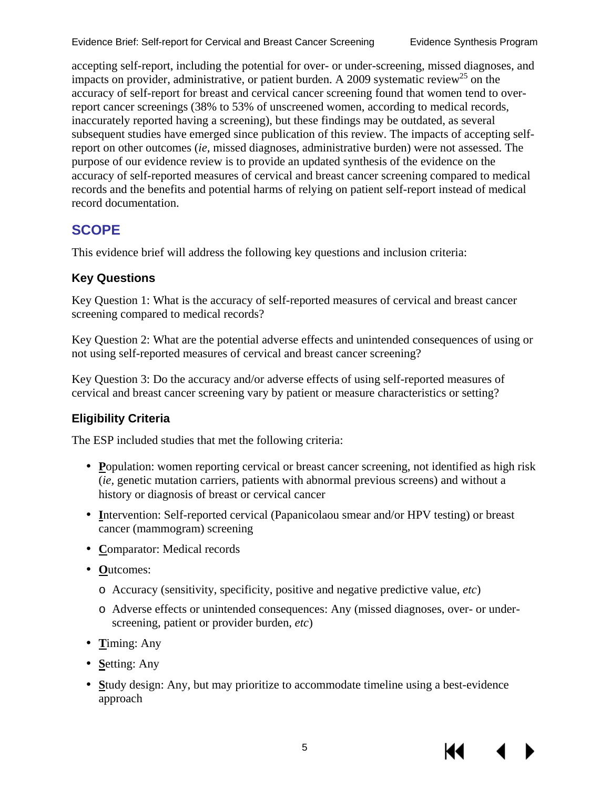Evidence Brief: Self-report for Cervical and Breast Cancer Screening Evidence Synthesis Program

accepting self-report, including the potential for over- or under-screening, missed diagnoses, and impacts on provider, administrative, or patient burden. A 2009 systematic review<sup>25</sup> on the accuracy of self-report for breast and cervical cancer screening found that women tend to overreport cancer screenings (38% to 53% of unscreened women, according to medical records, inaccurately reported having a screening), but these findings may be outdated, as several subsequent studies have emerged since publication of this review. The impacts of accepting selfreport on other outcomes (*ie,* missed diagnoses, administrative burden) were not assessed. The purpose of our evidence review is to provide an updated synthesis of the evidence on the accuracy of self-reported measures of cervical and breast cancer screening compared to medical records and the benefits and potential harms of relying on patient self-report instead of medical record documentation.

# <span id="page-8-0"></span>**SCOPE**

This evidence brief will address the following key questions and inclusion criteria:

## <span id="page-8-1"></span>**Key Questions**

Key Question 1: What is the accuracy of self-reported measures of cervical and breast cancer screening compared to medical records?

Key Question 2: What are the potential adverse effects and unintended consequences of using or not using self-reported measures of cervical and breast cancer screening?

Key Question 3: Do the accuracy and/or adverse effects of using self-reported measures of cervical and breast cancer screening vary by patient or measure characteristics or setting?

## <span id="page-8-2"></span>**Eligibility Criteria**

The ESP included studies that met the following criteria:

- **Population:** women reporting cervical or breast cancer screening, not identified as high risk (*ie,* genetic mutation carriers, patients with abnormal previous screens) and without a history or diagnosis of breast or cervical cancer
- **I**ntervention: Self-reported cervical (Papanicolaou smear and/or HPV testing) or breast cancer (mammogram) screening
- **Comparator:** Medical records
- **O**utcomes:
	- o Accuracy (sensitivity, specificity, positive and negative predictive value, *etc*)
	- o Adverse effects or unintended consequences: Any (missed diagnoses, over- or underscreening, patient or provider burden, *etc*)
- **T**iming: Any
- **Setting: Any**
- **S**tudy design: Any, but may prioritize to accommodate timeline using a best-evidence approach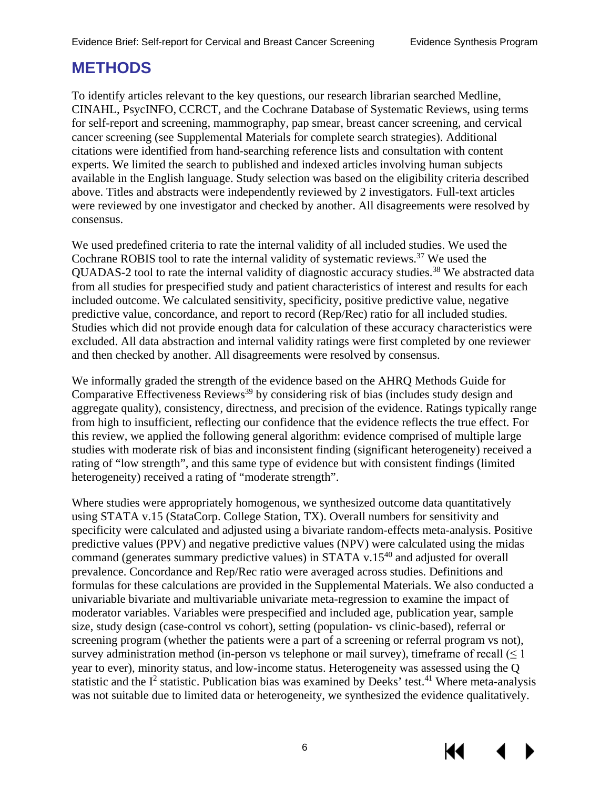# <span id="page-9-0"></span>**METHODS**

To identify articles relevant to the key questions, our research librarian searched Medline, CINAHL, PsycINFO, CCRCT, and the Cochrane Database of Systematic Reviews, using terms for self-report and screening, mammography, pap smear, breast cancer screening, and cervical cancer screening (see Supplemental Materials for complete search strategies). Additional citations were identified from hand-searching reference lists and consultation with content experts. We limited the search to published and indexed articles involving human subjects available in the English language. Study selection was based on the eligibility criteria described above. Titles and abstracts were independently reviewed by 2 investigators. Full-text articles were reviewed by one investigator and checked by another. All disagreements were resolved by consensus.

We used predefined criteria to rate the internal validity of all included studies. We used the Cochrane ROBIS tool to rate the internal validity of systematic reviews.<sup>37</sup> We used the QUADAS-2 tool to rate the internal validity of diagnostic accuracy studies.<sup>38</sup> We abstracted data from all studies for prespecified study and patient characteristics of interest and results for each included outcome. We calculated sensitivity, specificity, positive predictive value, negative predictive value, concordance, and report to record (Rep/Rec) ratio for all included studies. Studies which did not provide enough data for calculation of these accuracy characteristics were excluded. All data abstraction and internal validity ratings were first completed by one reviewer and then checked by another. All disagreements were resolved by consensus.

We informally graded the strength of the evidence based on the AHRQ Methods Guide for Comparative Effectiveness Reviews<sup>39</sup> by considering risk of bias (includes study design and aggregate quality), consistency, directness, and precision of the evidence. Ratings typically range from high to insufficient, reflecting our confidence that the evidence reflects the true effect. For this review, we applied the following general algorithm: evidence comprised of multiple large studies with moderate risk of bias and inconsistent finding (significant heterogeneity) received a rating of "low strength", and this same type of evidence but with consistent findings (limited heterogeneity) received a rating of "moderate strength".

Where studies were appropriately homogenous, we synthesized outcome data quantitatively using STATA v.15 (StataCorp. College Station, TX). Overall numbers for sensitivity and specificity were calculated and adjusted using a bivariate random-effects meta-analysis. Positive predictive values (PPV) and negative predictive values (NPV) were calculated using the midas command (generates summary predictive values) in STATA v.15 $40$  and adjusted for overall prevalence. Concordance and Rep/Rec ratio were averaged across studies. Definitions and formulas for these calculations are provided in the Supplemental Materials. We also conducted a univariable bivariate and multivariable univariate meta-regression to examine the impact of moderator variables. Variables were prespecified and included age, publication year, sample size, study design (case-control vs cohort), setting (population- vs clinic-based), referral or screening program (whether the patients were a part of a screening or referral program vs not), survey administration method (in-person vs telephone or mail survey), timeframe of recall  $(\leq 1)$ year to ever), minority status, and low-income status. Heterogeneity was assessed using the Q statistic and the  $I^2$  statistic. Publication bias was examined by Deeks' test.<sup>[41](#page-28-2)</sup> Where meta-analysis was not suitable due to limited data or heterogeneity, we synthesized the evidence qualitatively.

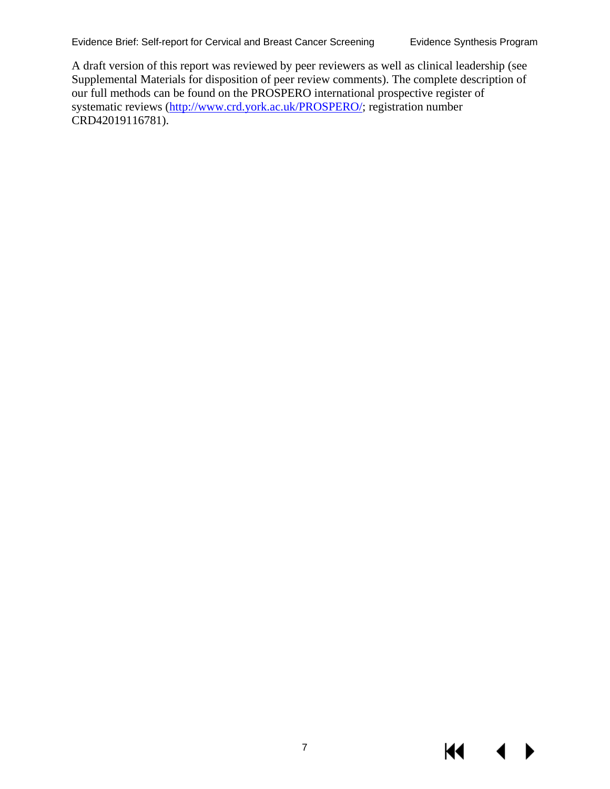A draft version of this report was reviewed by peer reviewers as well as clinical leadership (see Supplemental Materials for disposition of peer review comments). The complete description of our full methods can be found on the PROSPERO international prospective register of systematic reviews [\(http://www.crd.york.ac.uk/PROSPERO/;](http://www.crd.york.ac.uk/PROSPERO/) registration number CRD42019116781).

К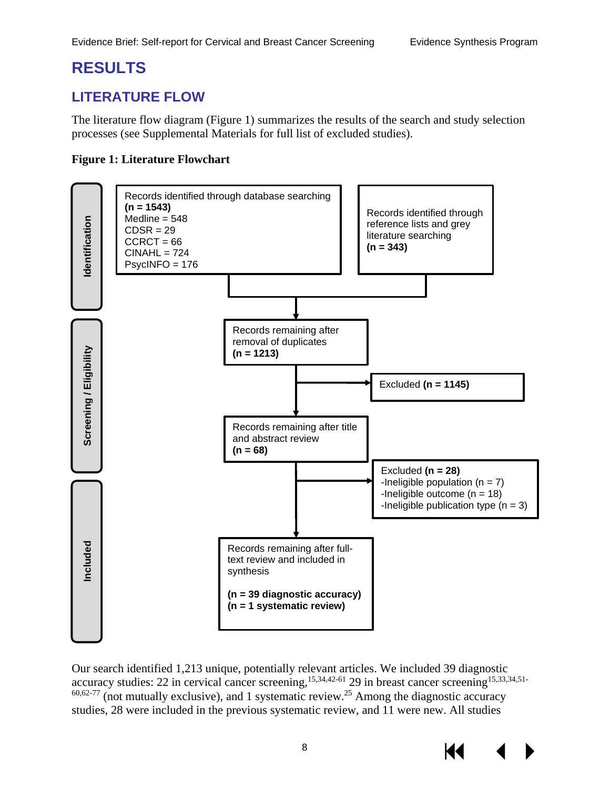# <span id="page-11-0"></span>**RESULTS**

# <span id="page-11-1"></span>**LITERATURE FLOW**

The literature flow diagram (Figure 1) summarizes the results of the search and study selection processes (see Supplemental Materials for full list of excluded studies).

#### <span id="page-11-2"></span>**Figure 1: Literature Flowchart**



Our search identified 1,213 unique, potentially relevant articles. We included 39 diagnostic accuracy studies: 22 in cervical cancer screening, <sup>[15,](#page-26-7)[34,](#page-28-1)42-61</sup> 29 in breast cancer screening <sup>15,[33,](#page-28-0)34,[51-](#page-29-0)</sup>  $60,62$  $60,62$ -77 (not mutually exclusive), and 1 systematic review.<sup>25</sup> Among the diagnostic accuracy studies, 28 were included in the previous systematic review, and 11 were new. All studies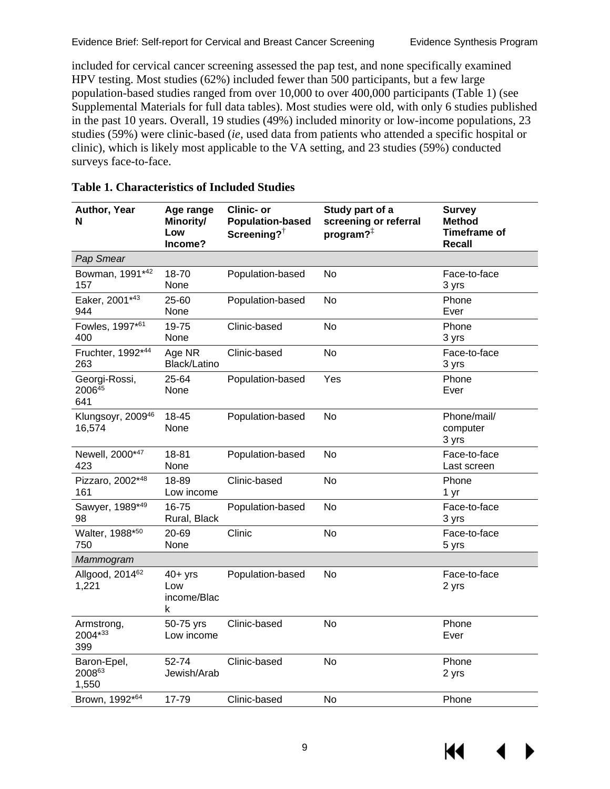included for cervical cancer screening assessed the pap test, and none specifically examined HPV testing. Most studies (62%) included fewer than 500 participants, but a few large population-based studies ranged from over 10,000 to over 400,000 participants (Table 1) (see Supplemental Materials for full data tables). Most studies were old, with only 6 studies published in the past 10 years. Overall, 19 studies (49%) included minority or low-income populations, 23 studies (59%) were clinic-based (*ie*, used data from patients who attended a specific hospital or clinic), which is likely most applicable to the VA setting, and 23 studies (59%) conducted surveys face-to-face.

| Author, Year<br>N                          | Age range<br>Minority/<br>Low<br>Income? | <b>Clinic- or</b><br><b>Population-based</b><br>Screening? $\dagger$ | Study part of a<br>screening or referral<br>program? $\frac{1}{x}$ | <b>Survey</b><br><b>Method</b><br><b>Timeframe of</b><br><b>Recall</b> |
|--------------------------------------------|------------------------------------------|----------------------------------------------------------------------|--------------------------------------------------------------------|------------------------------------------------------------------------|
| Pap Smear                                  |                                          |                                                                      |                                                                    |                                                                        |
| Bowman, 1991*42<br>157                     | 18-70<br>None                            | Population-based                                                     | No                                                                 | Face-to-face<br>3 yrs                                                  |
| Eaker, 2001*43<br>944                      | 25-60<br>None                            | Population-based                                                     | <b>No</b>                                                          | Phone<br>Ever                                                          |
| Fowles, 1997*61<br>400                     | 19-75<br>None                            | Clinic-based                                                         | <b>No</b>                                                          | Phone<br>3 yrs                                                         |
| Fruchter, 1992*44<br>263                   | Age NR<br>Black/Latino                   | Clinic-based                                                         | <b>No</b>                                                          | Face-to-face<br>3 yrs                                                  |
| Georgi-Rossi,<br>2006 <sup>45</sup><br>641 | 25-64<br>None                            | Population-based                                                     | Yes                                                                | Phone<br>Ever                                                          |
| Klungsoyr, 2009 <sup>46</sup><br>16,574    | 18-45<br>None                            | Population-based                                                     | <b>No</b>                                                          | Phone/mail/<br>computer<br>3 yrs                                       |
| Newell, 2000*47<br>423                     | 18-81<br>None                            | Population-based                                                     | No                                                                 | Face-to-face<br>Last screen                                            |
| Pizzaro, 2002*48<br>161                    | 18-89<br>Low income                      | Clinic-based                                                         | <b>No</b>                                                          | Phone<br>1 yr                                                          |
| Sawyer, 1989*49<br>98                      | 16-75<br>Rural, Black                    | Population-based                                                     | <b>No</b>                                                          | Face-to-face<br>3 yrs                                                  |
| Walter, 1988*50<br>750                     | 20-69<br>None                            | Clinic                                                               | No                                                                 | Face-to-face<br>5 yrs                                                  |
| Mammogram                                  |                                          |                                                                      |                                                                    |                                                                        |
| Allgood, 2014 <sup>62</sup><br>1,221       | $40+$ yrs<br>Low<br>income/Blac<br>k     | Population-based                                                     | <b>No</b>                                                          | Face-to-face<br>2 yrs                                                  |
| Armstrong,<br>2004*33<br>399               | 50-75 yrs<br>Low income                  | Clinic-based                                                         | <b>No</b>                                                          | Phone<br>Ever                                                          |
| Baron-Epel,<br>200863<br>1,550             | 52-74<br>Jewish/Arab                     | Clinic-based                                                         | No                                                                 | Phone<br>2 yrs                                                         |
| Brown, 1992*64                             | 17-79                                    | Clinic-based                                                         | No                                                                 | Phone                                                                  |

#### <span id="page-12-0"></span>**Table 1. Characteristics of Included Studies**

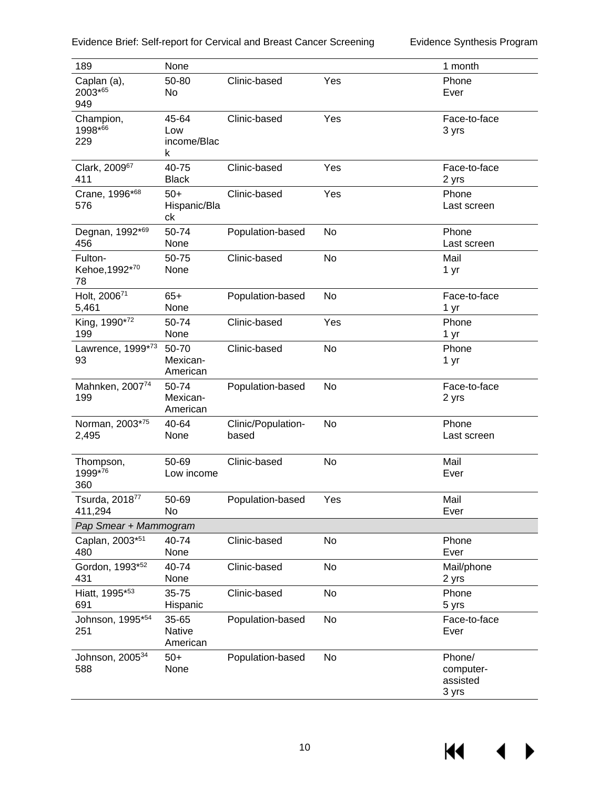| Evidence Brief: Self-report for Cervical and Breast Cancer Screening |  |  |  |
|----------------------------------------------------------------------|--|--|--|
|----------------------------------------------------------------------|--|--|--|

Evidence Synthesis Program

| 189                                   | None                               |                             |           | 1 month                                  |
|---------------------------------------|------------------------------------|-----------------------------|-----------|------------------------------------------|
| Caplan (a),<br>2003*65<br>949         | 50-80<br>No                        | Clinic-based                | Yes       | Phone<br>Ever                            |
| Champion,<br>1998*66<br>229           | 45-64<br>Low<br>income/Blac<br>k   | Clinic-based                | Yes       | Face-to-face<br>3 yrs                    |
| Clark, 200967<br>411                  | 40-75<br><b>Black</b>              | Clinic-based                | Yes       | Face-to-face<br>2 yrs                    |
| Crane, 1996*68<br>576                 | $50+$<br>Hispanic/Bla<br>ck        | Clinic-based                | Yes       | Phone<br>Last screen                     |
| Degnan, 1992*69<br>456                | 50-74<br>None                      | Population-based            | No        | Phone<br>Last screen                     |
| Fulton-<br>Kehoe, 1992*70<br>78       | 50-75<br>None                      | Clinic-based                | <b>No</b> | Mail<br>1 yr                             |
| Holt, 200671<br>5,461                 | $65+$<br>None                      | Population-based            | <b>No</b> | Face-to-face<br>1 yr                     |
| King, 1990*72<br>199                  | 50-74<br>None                      | Clinic-based                | Yes       | Phone<br>1 yr                            |
| Lawrence, 1999*73<br>93               | 50-70<br>Mexican-<br>American      | Clinic-based                | No        | Phone<br>1 yr                            |
| Mahnken, 200774<br>199                | 50-74<br>Mexican-<br>American      | Population-based            | No        | Face-to-face<br>2 yrs                    |
| Norman, 2003*75<br>2,495              | 40-64<br>None                      | Clinic/Population-<br>based | <b>No</b> | Phone<br>Last screen                     |
| Thompson,<br>1999*76<br>360           | 50-69<br>Low income                | Clinic-based                | No        | Mail<br>Ever                             |
| Tsurda, 2018 <sup>77</sup><br>411,294 | 50-69<br>No                        | Population-based            | Yes       | Mail<br>Ever                             |
| Pap Smear + Mammogram                 |                                    |                             |           |                                          |
| Caplan, 2003*51<br>480                | 40-74<br>None                      | Clinic-based                | No        | Phone<br>Ever                            |
| Gordon, 1993*52<br>431                | 40-74<br>None                      | Clinic-based                | No        | Mail/phone<br>2 yrs                      |
| Hiatt, 1995*53<br>691                 | 35-75<br>Hispanic                  | Clinic-based                | No        | Phone<br>5 yrs                           |
| Johnson, 1995*54<br>251               | 35-65<br><b>Native</b><br>American | Population-based            | No        | Face-to-face<br>Ever                     |
| Johnson, 2005 <sup>34</sup><br>588    | $50+$<br>None                      | Population-based            | No        | Phone/<br>computer-<br>assisted<br>3 yrs |

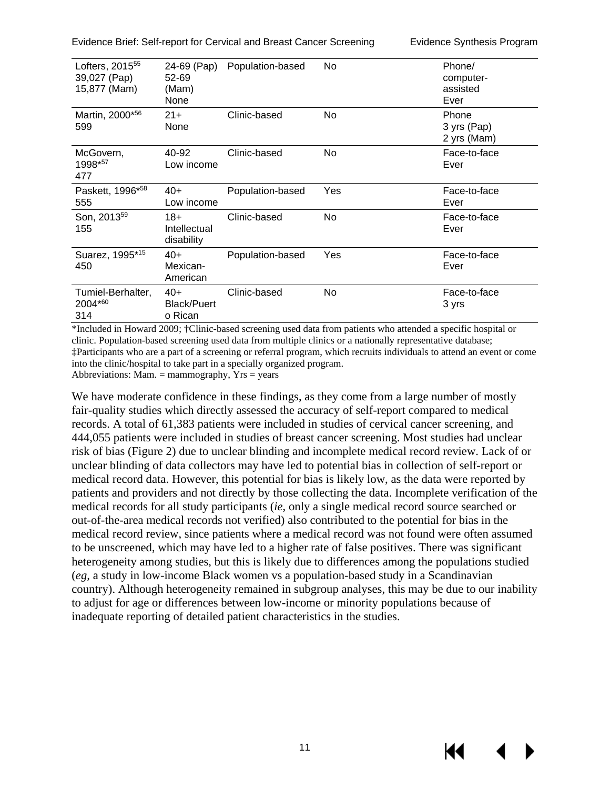Evidence Brief: Self-report for Cervical and Breast Cancer Screening Evidence Synthesis Program

| Lofters, 2015 <sup>55</sup><br>39,027 (Pap)<br>15,877 (Mam) | 24-69 (Pap)<br>52-69<br>(Mam)<br>None  | Population-based | No.            | Phone/<br>computer-<br>assisted<br>Ever |
|-------------------------------------------------------------|----------------------------------------|------------------|----------------|-----------------------------------------|
| Martin, 2000*56<br>599                                      | $21 +$<br>None                         | Clinic-based     | N <sub>o</sub> | Phone<br>3 yrs (Pap)<br>2 yrs (Mam)     |
| McGovern,<br>1998*57<br>477                                 | 40-92<br>Low income                    | Clinic-based     | No.            | Face-to-face<br>Ever                    |
| Paskett, 1996*58<br>555                                     | $40+$<br>Low income                    | Population-based | Yes            | Face-to-face<br>Ever                    |
| Son, 2013 <sup>59</sup><br>155                              | $18+$<br>Intellectual<br>disability    | Clinic-based     | No.            | Face-to-face<br>Ever                    |
| Suarez, 1995*15<br>450                                      | $40+$<br>Mexican-<br>American          | Population-based | Yes            | Face-to-face<br>Ever                    |
| Tumiel-Berhalter,<br>2004*60<br>314                         | $40+$<br><b>Black/Puert</b><br>o Rican | Clinic-based     | No.            | Face-to-face<br>3 yrs                   |

\*Included in Howard 2009; †Clinic-based screening used data from patients who attended a specific hospital or clinic. Population-based screening used data from multiple clinics or a nationally representative database; ‡Participants who are a part of a screening or referral program, which recruits individuals to attend an event or come into the clinic/hospital to take part in a specially organized program. Abbreviations: Mam.  $=$  mammography,  $Yrs = years$ 

We have moderate confidence in these findings, as they come from a large number of mostly fair-quality studies which directly assessed the accuracy of self-report compared to medical records. A total of 61,383 patients were included in studies of cervical cancer screening, and 444,055 patients were included in studies of breast cancer screening. Most studies had unclear risk of bias (Figure 2) due to unclear blinding and incomplete medical record review. Lack of or unclear blinding of data collectors may have led to potential bias in collection of self-report or medical record data. However, this potential for bias is likely low, as the data were reported by patients and providers and not directly by those collecting the data. Incomplete verification of the medical records for all study participants (*ie*, only a single medical record source searched or out-of-the-area medical records not verified) also contributed to the potential for bias in the medical record review, since patients where a medical record was not found were often assumed to be unscreened, which may have led to a higher rate of false positives. There was significant heterogeneity among studies, but this is likely due to differences among the populations studied (*eg,* a study in low-income Black women vs a population-based study in a Scandinavian country). Although heterogeneity remained in subgroup analyses, this may be due to our inability to adjust for age or differences between low-income or minority populations because of inadequate reporting of detailed patient characteristics in the studies.

KI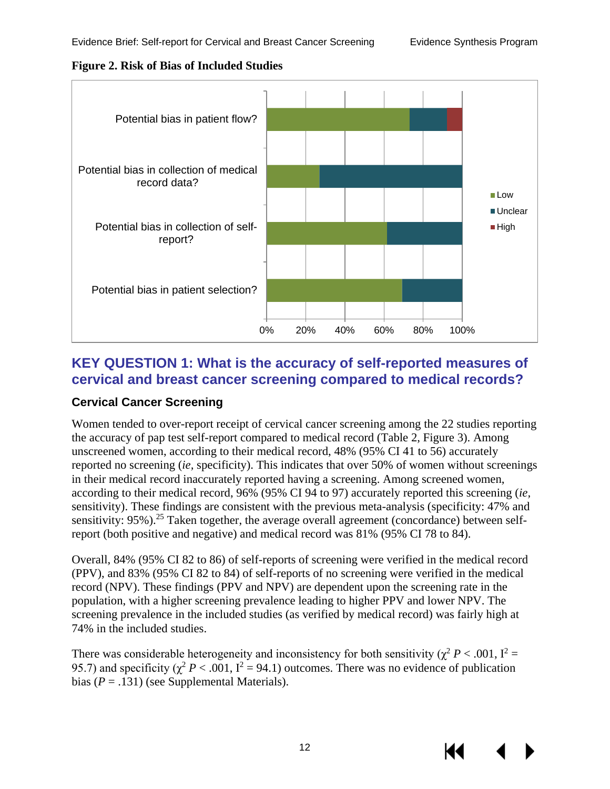<span id="page-15-2"></span>



## <span id="page-15-0"></span>**KEY QUESTION 1: What is the accuracy of self-reported measures of cervical and breast cancer screening compared to medical records?**

## <span id="page-15-1"></span>**Cervical Cancer Screening**

Women tended to over-report receipt of cervical cancer screening among the 22 studies reporting the accuracy of pap test self-report compared to medical record (Table 2, Figure 3). Among unscreened women, according to their medical record, 48% (95% CI 41 to 56) accurately reported no screening (*ie,* specificity). This indicates that over 50% of women without screenings in their medical record inaccurately reported having a screening. Among screened women, according to their medical record, 96% (95% CI 94 to 97) accurately reported this screening (*ie,*  sensitivity). These findings are consistent with the previous meta-analysis (specificity: 47% and sensitivity: 95%).<sup>[25](#page-27-4)</sup> Taken together, the average overall agreement (concordance) between selfreport (both positive and negative) and medical record was 81% (95% CI 78 to 84).

Overall, 84% (95% CI 82 to 86) of self-reports of screening were verified in the medical record (PPV), and 83% (95% CI 82 to 84) of self-reports of no screening were verified in the medical record (NPV). These findings (PPV and NPV) are dependent upon the screening rate in the population, with a higher screening prevalence leading to higher PPV and lower NPV. The screening prevalence in the included studies (as verified by medical record) was fairly high at 74% in the included studies.

There was considerable heterogeneity and inconsistency for both sensitivity ( $\chi^2 P < .001$ ,  $I^2 =$ 95.7) and specificity ( $\chi^2 P < .001$ ,  $I^2 = .94.1$ ) outcomes. There was no evidence of publication bias  $(P = .131)$  (see Supplemental Materials).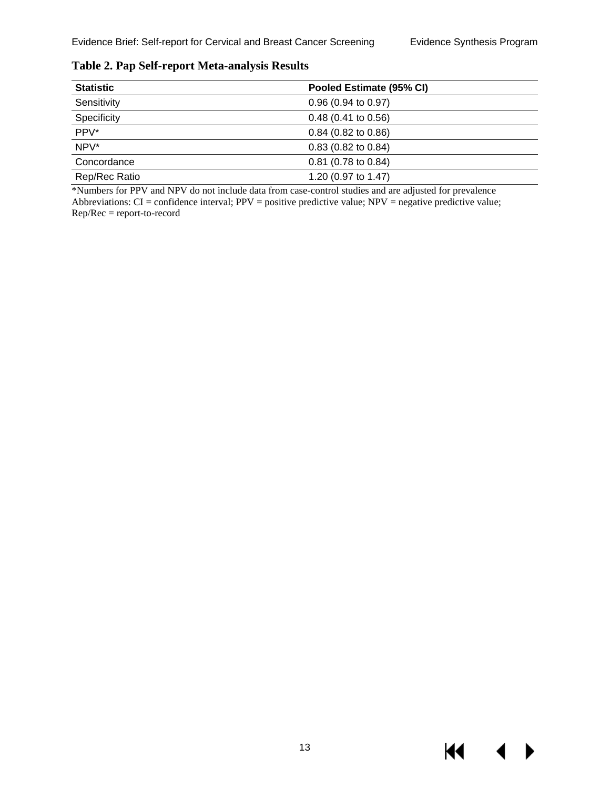$M \sim 1$ 

 $\blacktriangleright$ 

| <b>Statistic</b> | Pooled Estimate (95% CI) |
|------------------|--------------------------|
| Sensitivity      | 0.96(0.94 to 0.97)       |
| Specificity      | $0.48$ (0.41 to 0.56)    |
| PPV*             | $0.84$ (0.82 to 0.86)    |
| NPV*             | $0.83$ (0.82 to 0.84)    |
| Concordance      | $0.81$ (0.78 to 0.84)    |
| Rep/Rec Ratio    | 1.20 (0.97 to 1.47)      |

<span id="page-16-0"></span>**Table 2. Pap Self-report Meta-analysis Results**

\*Numbers for PPV and NPV do not include data from case-control studies and are adjusted for prevalence Abbreviations:  $CI =$  confidence interval;  $PPV =$  positive predictive value;  $NPV =$  negative predictive value; Rep/Rec = report-to-record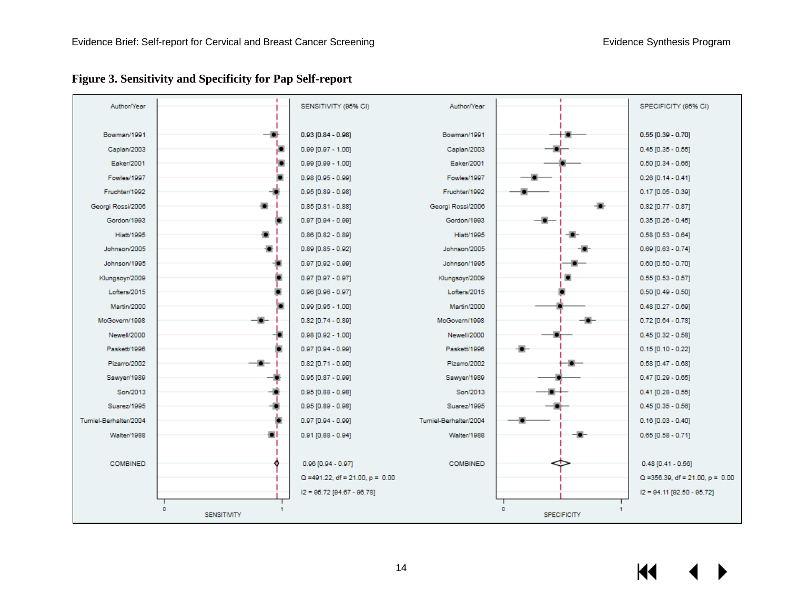<span id="page-17-0"></span>

**Figure 3. Sensitivity and Specificity for Pap Self-report**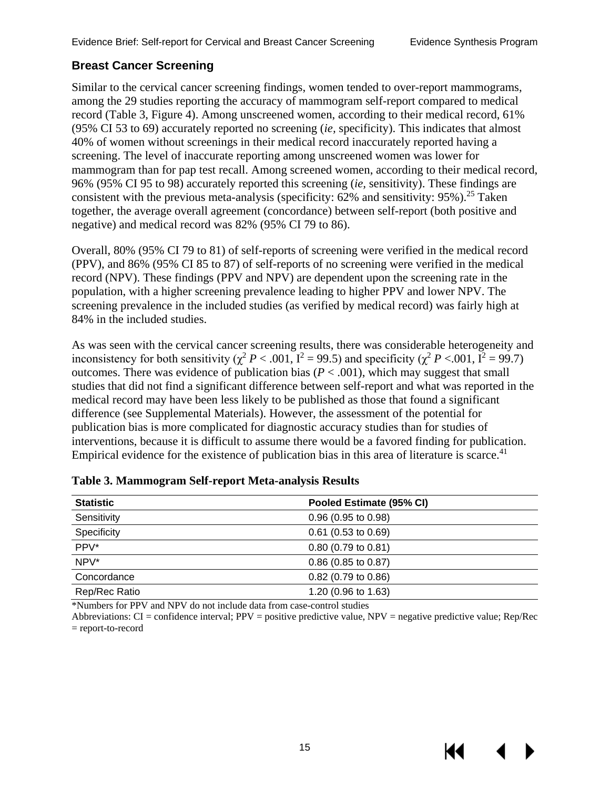#### <span id="page-18-0"></span>**Breast Cancer Screening**

Similar to the cervical cancer screening findings, women tended to over-report mammograms, among the 29 studies reporting the accuracy of mammogram self-report compared to medical record (Table 3, Figure 4). Among unscreened women, according to their medical record, 61% (95% CI 53 to 69) accurately reported no screening (*ie,* specificity). This indicates that almost 40% of women without screenings in their medical record inaccurately reported having a screening. The level of inaccurate reporting among unscreened women was lower for mammogram than for pap test recall. Among screened women, according to their medical record, 96% (95% CI 95 to 98) accurately reported this screening (*ie,* sensitivity). These findings are consistent with the previous meta-analysis (specificity:  $62\%$  and sensitivity:  $95\%$ ).<sup>25</sup> Taken together, the average overall agreement (concordance) between self-report (both positive and negative) and medical record was 82% (95% CI 79 to 86).

Overall, 80% (95% CI 79 to 81) of self-reports of screening were verified in the medical record (PPV), and 86% (95% CI 85 to 87) of self-reports of no screening were verified in the medical record (NPV). These findings (PPV and NPV) are dependent upon the screening rate in the population, with a higher screening prevalence leading to higher PPV and lower NPV. The screening prevalence in the included studies (as verified by medical record) was fairly high at 84% in the included studies.

As was seen with the cervical cancer screening results, there was considerable heterogeneity and inconsistency for both sensitivity ( $\chi^2 P < .001$ ,  $I^2 = 99.5$ ) and specificity ( $\chi^2 P < .001$ ,  $I^2 = 99.7$ ) outcomes. There was evidence of publication bias ( $P < .001$ ), which may suggest that small studies that did not find a significant difference between self-report and what was reported in the medical record may have been less likely to be published as those that found a significant difference (see Supplemental Materials). However, the assessment of the potential for publication bias is more complicated for diagnostic accuracy studies than for studies of interventions, because it is difficult to assume there would be a favored finding for publication. Empirical evidence for the existence of publication bias in this area of literature is scarce.<sup>[41](#page-28-2)</sup>

| <b>Statistic</b> | Pooled Estimate (95% CI)      |
|------------------|-------------------------------|
| Sensitivity      | $0.96$ (0.95 to 0.98)         |
| Specificity      | $0.61$ (0.53 to 0.69)         |
| PPV*             | $0.80(0.79 \text{ to } 0.81)$ |
| $NPV^*$          | $0.86$ (0.85 to 0.87)         |
| Concordance      | $0.82$ (0.79 to 0.86)         |
| Rep/Rec Ratio    | 1.20 (0.96 to 1.63)           |

#### <span id="page-18-1"></span>**Table 3. Mammogram Self-report Meta-analysis Results**

\*Numbers for PPV and NPV do not include data from case-control studies

Abbreviations: CI = confidence interval; PPV = positive predictive value, NPV = negative predictive value; Rep/Rec = report-to-record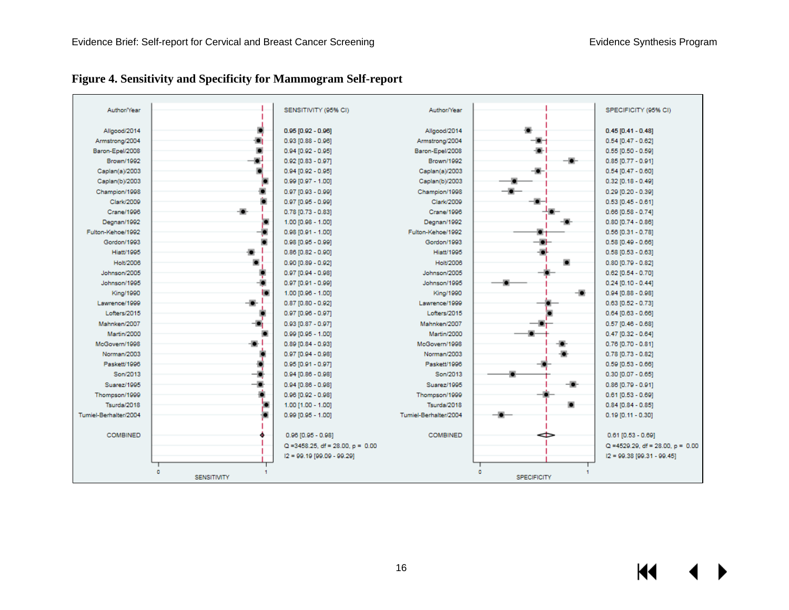<span id="page-19-0"></span>

| Author/Year           |                    | SENSITIVITY (95% CI)                 | Author/Year           |                    | SPECIFICITY (95% CI)                 |
|-----------------------|--------------------|--------------------------------------|-----------------------|--------------------|--------------------------------------|
|                       |                    |                                      |                       |                    |                                      |
| Allgood/2014          |                    | $0.95$ [0.92 - 0.96]                 | Allgood/2014          |                    | $0.45$ [0.41 - 0.48]                 |
| Armstrong/2004        |                    | $0.93$ [0.88 - 0.96]                 | Armstrong/2004        |                    | $0.54$ [0.47 - 0.62]                 |
| Baron-Epel/2008       |                    | $0.94 [0.92 - 0.95]$                 | Baron-Epel/2008       |                    | $0.55$ [0.50 - 0.59]                 |
| Brown/1992            |                    | $0.92$ [0.83 - 0.97]                 | Brown/1992            |                    | $0.85$ [0.77 - 0.91]                 |
| Caplan(a)/2003        |                    | $0.94$ [0.92 - 0.95]                 | Caplan(a)/2003        |                    | $0.54$ [0.47 - 0.60]                 |
| Caplan(b)/2003        |                    | $0.99$ [0.97 - 1.00]                 | Caplan(b)/2003        |                    | $0.32$ [0.18 - 0.49]                 |
| Champion/1998         |                    | $0.97$ [0.93 - 0.99]                 | Champion/1998         |                    | $0.29$ [0.20 - 0.39]                 |
| Clark/2009            |                    | $0.97$ [0.95 - 0.99]                 | Clark/2009            |                    | $0.53$ [0.45 - 0.61]                 |
| Crane/1996            |                    | $0.78$ [0.73 - 0.83]                 | Crane/1996            |                    | $0.66$ [0.58 - 0.74]                 |
| Degnan/1992           |                    | $1.00$ [0.98 - 1.00]                 | Degnan/1992           |                    | $0.80$ [0.74 - 0.86]                 |
| Fulton-Kehoe/1992     |                    | $0.98$ [0.91 - 1.00]                 | Fulton-Kehoe/1992     |                    | $0.56$ [0.31 - 0.78]                 |
| Gordon/1993           |                    | $0.98$ [0.95 - 0.99]                 | Gordon/1993           |                    | $0.58$ [0.49 - 0.66]                 |
| <b>Histt/1995</b>     |                    | $0.86 [0.82 - 0.90]$                 | <b>Hiatt/1995</b>     |                    | $0.58$ [0.53 - 0.63]                 |
| Holt/2006             |                    | $0.90$ [0.89 - 0.92]                 | Holt/2006             |                    | $0.80$ [0.79 - 0.82]                 |
| Johnson/2005          |                    | $0.97$ [0.94 - 0.98]                 | Johnson/2005          |                    | $0.62$ [0.54 - 0.70]                 |
| Johnson/1995          |                    | $0.97$ [0.91 - 0.99]                 | Johnson/1995          |                    | $0.24 [0.10 - 0.44]$                 |
| King/1990             |                    | $1.00$ [0.96 - 1.00]                 | King/1990             | -5                 | $0.94 [0.88 - 0.98]$                 |
| Lawrence/1999         |                    | $0.87$ [0.80 - 0.92]                 | Lawrence/1999         |                    | $0.63$ [0.52 - 0.73]                 |
| Lofters/2015          |                    | $0.97$ [0.96 - 0.97]                 | Lofters/2015          |                    | $0.64 [0.63 - 0.66]$                 |
| Mahnken/2007          |                    | $0.93$ [0.87 - 0.97]                 | Mahnken/2007          |                    | $0.57$ [0.46 - 0.68]                 |
| Martin/2000           |                    | $0.99$ [0.95 - 1.00]                 | Martin/2000           |                    | $0.47$ [0.32 - 0.64]                 |
| McGovern/1998         |                    | $0.89$ [0.84 - 0.93]                 | McGovern/1998         |                    | $0.76$ [0.70 - 0.81]                 |
| Norman/2003           |                    | $0.97$ [0.94 - 0.98]                 | Norman/2003           |                    | $0.78$ [0.73 - 0.82]                 |
| Paskett/1996          |                    | $0.95 [0.91 - 0.97]$                 | Paskett/1996          |                    | $0.59$ [0.53 - 0.66]                 |
| Son/2013              |                    | $0.94 [0.86 - 0.98]$                 | Son/2013              |                    | $0.30$ [0.07 - 0.65]                 |
| Suarez/1995           |                    | $0.94$ [0.86 - 0.98]                 | Suarez/1995           | п.                 | $0.86 [0.79 - 0.91]$                 |
| Thompson/1999         |                    | $0.96 [0.92 - 0.98]$                 | Thompson/1999         |                    | $0.61$ [0.53 - 0.69]                 |
| Tsurda/2018           |                    | $1.00$ [1.00 - 1.00]                 | Tsurda/2018           |                    | $0.84 [0.84 - 0.85]$                 |
| Tumiel-Berhalter/2004 |                    | $0.99$ [0.95 - 1.00]                 | Tumiel-Berhalter/2004 |                    | $0.19$ [0.11 - 0.30]                 |
|                       |                    |                                      |                       |                    |                                      |
| <b>COMBINED</b>       |                    | $0.96$ [0.95 - 0.98]                 | <b>COMBINED</b>       |                    | $0.61$ [0.53 - 0.69]                 |
|                       |                    | $Q = 3458.25$ , df = 28.00, p = 0.00 |                       |                    | $Q = 4529.29$ , df = 28.00, p = 0.00 |
|                       |                    | I2 = 99.19 [99.09 - 99.29]           |                       |                    | I2 = 99.38 [99.31 - 99.45]           |
|                       |                    |                                      |                       |                    |                                      |
|                       | <b>SENSITIVITY</b> |                                      |                       | <b>SPECIFICITY</b> |                                      |

# **Figure 4. Sensitivity and Specificity for Mammogram Self-report**

 $M$  $\blacktriangleright$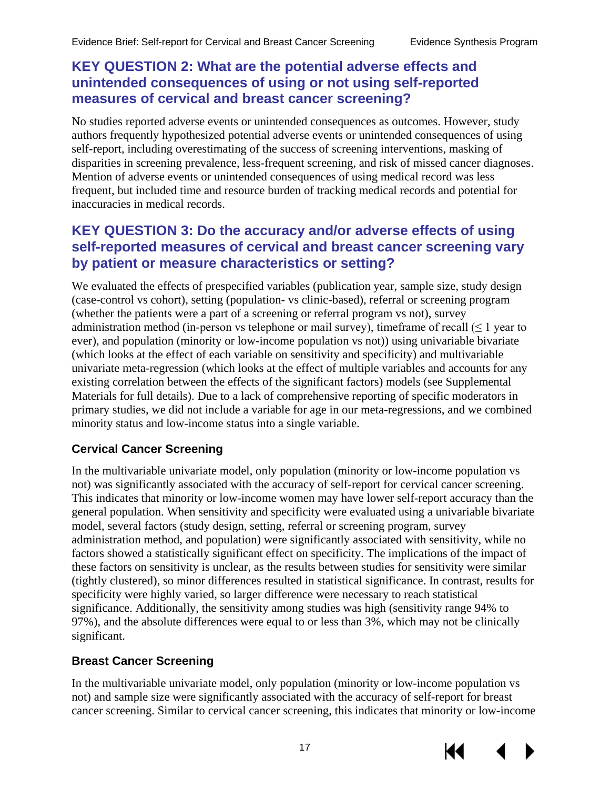# <span id="page-20-0"></span>**KEY QUESTION 2: What are the potential adverse effects and unintended consequences of using or not using self-reported measures of cervical and breast cancer screening?**

No studies reported adverse events or unintended consequences as outcomes. However, study authors frequently hypothesized potential adverse events or unintended consequences of using self-report, including overestimating of the success of screening interventions, masking of disparities in screening prevalence, less-frequent screening, and risk of missed cancer diagnoses. Mention of adverse events or unintended consequences of using medical record was less frequent, but included time and resource burden of tracking medical records and potential for inaccuracies in medical records.

## <span id="page-20-1"></span>**KEY QUESTION 3: Do the accuracy and/or adverse effects of using self-reported measures of cervical and breast cancer screening vary by patient or measure characteristics or setting?**

We evaluated the effects of prespecified variables (publication year, sample size, study design (case-control vs cohort), setting (population- vs clinic-based), referral or screening program (whether the patients were a part of a screening or referral program vs not), survey administration method (in-person vs telephone or mail survey), timeframe of recall ( $\leq 1$  year to ever), and population (minority or low-income population vs not)) using univariable bivariate (which looks at the effect of each variable on sensitivity and specificity) and multivariable univariate meta-regression (which looks at the effect of multiple variables and accounts for any existing correlation between the effects of the significant factors) models (see Supplemental Materials for full details). Due to a lack of comprehensive reporting of specific moderators in primary studies, we did not include a variable for age in our meta-regressions, and we combined minority status and low-income status into a single variable.

## <span id="page-20-2"></span>**Cervical Cancer Screening**

In the multivariable univariate model, only population (minority or low-income population vs not) was significantly associated with the accuracy of self-report for cervical cancer screening. This indicates that minority or low-income women may have lower self-report accuracy than the general population. When sensitivity and specificity were evaluated using a univariable bivariate model, several factors (study design, setting, referral or screening program, survey administration method, and population) were significantly associated with sensitivity, while no factors showed a statistically significant effect on specificity. The implications of the impact of these factors on sensitivity is unclear, as the results between studies for sensitivity were similar (tightly clustered), so minor differences resulted in statistical significance. In contrast, results for specificity were highly varied, so larger difference were necessary to reach statistical significance. Additionally, the sensitivity among studies was high (sensitivity range 94% to 97%), and the absolute differences were equal to or less than 3%, which may not be clinically significant.

## <span id="page-20-3"></span>**Breast Cancer Screening**

In the multivariable univariate model, only population (minority or low-income population vs not) and sample size were significantly associated with the accuracy of self-report for breast cancer screening. Similar to cervical cancer screening, this indicates that minority or low-income

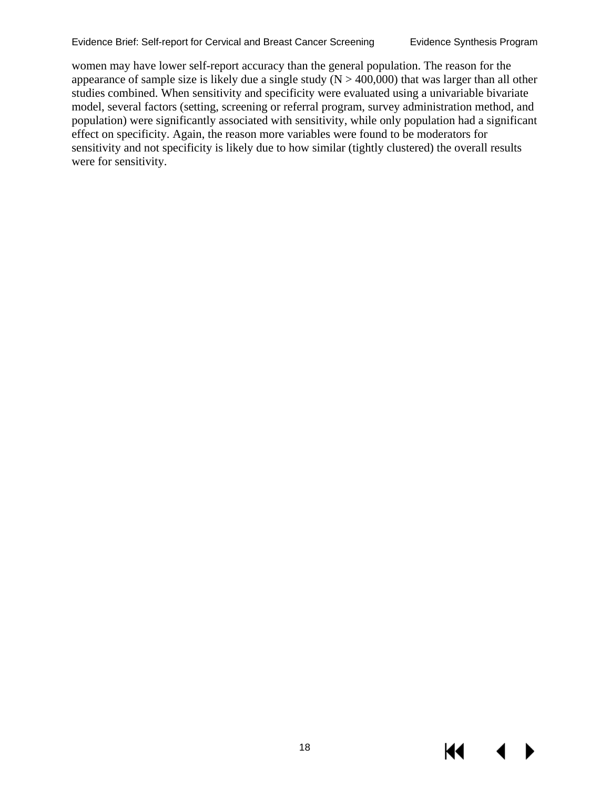women may have lower self-report accuracy than the general population. The reason for the appearance of sample size is likely due a single study  $(N > 400,000)$  that was larger than all other studies combined. When sensitivity and specificity were evaluated using a univariable bivariate model, several factors (setting, screening or referral program, survey administration method, and population) were significantly associated with sensitivity, while only population had a significant effect on specificity. Again, the reason more variables were found to be moderators for sensitivity and not specificity is likely due to how similar (tightly clustered) the overall results were for sensitivity.

К€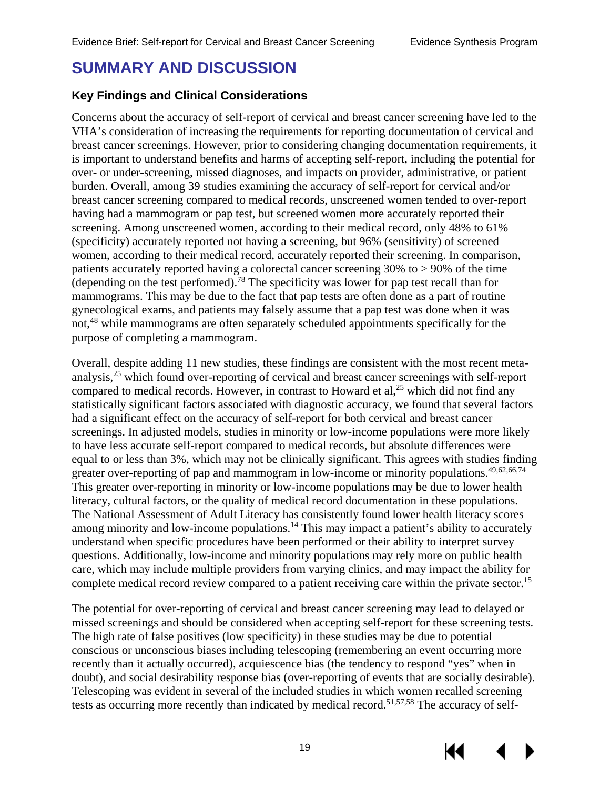# <span id="page-22-0"></span>**SUMMARY AND DISCUSSION**

## <span id="page-22-1"></span>**Key Findings and Clinical Considerations**

Concerns about the accuracy of self-report of cervical and breast cancer screening have led to the VHA's consideration of increasing the requirements for reporting documentation of cervical and breast cancer screenings. However, prior to considering changing documentation requirements, it is important to understand benefits and harms of accepting self-report, including the potential for over- or under-screening, missed diagnoses, and impacts on provider, administrative, or patient burden. Overall, among 39 studies examining the accuracy of self-report for cervical and/or breast cancer screening compared to medical records, unscreened women tended to over-report having had a mammogram or pap test, but screened women more accurately reported their screening. Among unscreened women, according to their medical record, only 48% to 61% (specificity) accurately reported not having a screening, but 96% (sensitivity) of screened women, according to their medical record, accurately reported their screening. In comparison, patients accurately reported having a colorectal cancer screening 30% to > 90% of the time (depending on the test performed).<sup>78</sup> The specificity was lower for pap test recall than for mammograms. This may be due to the fact that pap tests are often done as a part of routine gynecological exams, and patients may falsely assume that a pap test was done when it was not,<sup>[48](#page-29-2)</sup> while mammograms are often separately scheduled appointments specifically for the purpose of completing a mammogram.

Overall, despite adding 11 new studies, these findings are consistent with the most recent meta-analysis,<sup>[25](#page-27-4)</sup> which found over-reporting of cervical and breast cancer screenings with self-report compared to medical records. However, in contrast to Howard et al, $^{25}$  $^{25}$  $^{25}$  which did not find any statistically significant factors associated with diagnostic accuracy, we found that several factors had a significant effect on the accuracy of self-report for both cervical and breast cancer screenings. In adjusted models, studies in minority or low-income populations were more likely to have less accurate self-report compared to medical records, but absolute differences were equal to or less than 3%, which may not be clinically significant. This agrees with studies finding greater over-reporting of pap and mammogram in low-income or minority populations.<sup>49[,62](#page-29-1)[,66](#page-29-3)[,74](#page-30-1)</sup> This greater over-reporting in minority or low-income populations may be due to lower health literacy, cultural factors, or the quality of medical record documentation in these populations. The National Assessment of Adult Literacy has consistently found lower health literacy scores among minority and low-income populations.<sup>[14](#page-26-6)</sup> This may impact a patient's ability to accurately understand when specific procedures have been performed or their ability to interpret survey questions. Additionally, low-income and minority populations may rely more on public health care, which may include multiple providers from varying clinics, and may impact the ability for complete medical record review compared to a patient receiving care within the private sector.<sup>15</sup>

The potential for over-reporting of cervical and breast cancer screening may lead to delayed or missed screenings and should be considered when accepting self-report for these screening tests. The high rate of false positives (low specificity) in these studies may be due to potential conscious or unconscious biases including telescoping (remembering an event occurring more recently than it actually occurred), acquiescence bias (the tendency to respond "yes" when in doubt), and social desirability response bias (over-reporting of events that are socially desirable). Telescoping was evident in several of the included studies in which women recalled screening tests as occurring more recently than indicated by medical record.<sup>[51,](#page-29-0)[57,](#page-29-4)[58](#page-29-5)</sup> The accuracy of self-

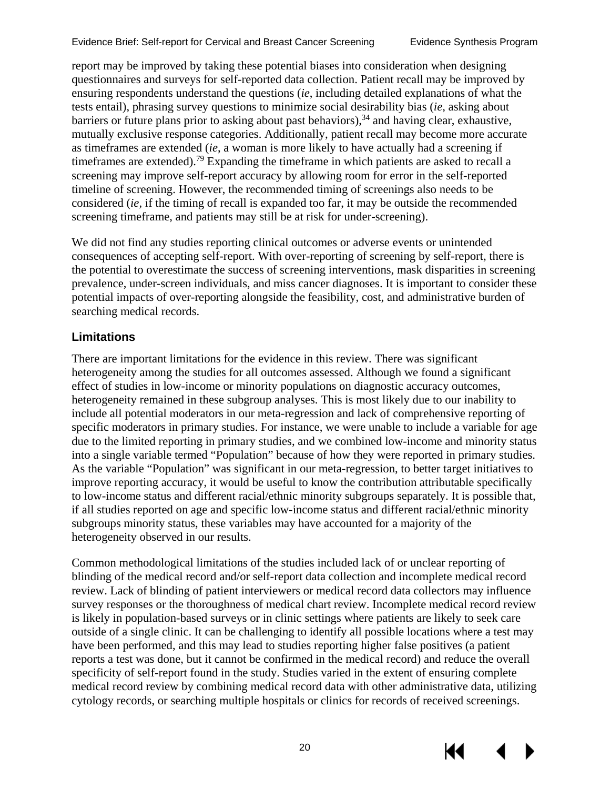Evidence Brief: Self-report for Cervical and Breast Cancer Screening Evidence Synthesis Program

report may be improved by taking these potential biases into consideration when designing questionnaires and surveys for self-reported data collection. Patient recall may be improved by ensuring respondents understand the questions (*ie*, including detailed explanations of what the tests entail), phrasing survey questions to minimize social desirability bias (*ie*, asking about barriers or future plans prior to asking about past behaviors),<sup>[34](#page-28-1)</sup> and having clear, exhaustive, mutually exclusive response categories. Additionally, patient recall may become more accurate as timeframes are extended (*ie*, a woman is more likely to have actually had a screening if timeframes are extended).[79](#page-30-0) Expanding the timeframe in which patients are asked to recall a screening may improve self-report accuracy by allowing room for error in the self-reported timeline of screening. However, the recommended timing of screenings also needs to be considered (*ie,* if the timing of recall is expanded too far, it may be outside the recommended screening timeframe, and patients may still be at risk for under-screening).

We did not find any studies reporting clinical outcomes or adverse events or unintended consequences of accepting self-report. With over-reporting of screening by self-report, there is the potential to overestimate the success of screening interventions, mask disparities in screening prevalence, under-screen individuals, and miss cancer diagnoses. It is important to consider these potential impacts of over-reporting alongside the feasibility, cost, and administrative burden of searching medical records.

# <span id="page-23-0"></span>**Limitations**

There are important limitations for the evidence in this review. There was significant heterogeneity among the studies for all outcomes assessed. Although we found a significant effect of studies in low-income or minority populations on diagnostic accuracy outcomes, heterogeneity remained in these subgroup analyses. This is most likely due to our inability to include all potential moderators in our meta-regression and lack of comprehensive reporting of specific moderators in primary studies. For instance, we were unable to include a variable for age due to the limited reporting in primary studies, and we combined low-income and minority status into a single variable termed "Population" because of how they were reported in primary studies. As the variable "Population" was significant in our meta-regression, to better target initiatives to improve reporting accuracy, it would be useful to know the contribution attributable specifically to low-income status and different racial/ethnic minority subgroups separately. It is possible that, if all studies reported on age and specific low-income status and different racial/ethnic minority subgroups minority status, these variables may have accounted for a majority of the heterogeneity observed in our results.

Common methodological limitations of the studies included lack of or unclear reporting of blinding of the medical record and/or self-report data collection and incomplete medical record review. Lack of blinding of patient interviewers or medical record data collectors may influence survey responses or the thoroughness of medical chart review. Incomplete medical record review is likely in population-based surveys or in clinic settings where patients are likely to seek care outside of a single clinic. It can be challenging to identify all possible locations where a test may have been performed, and this may lead to studies reporting higher false positives (a patient reports a test was done, but it cannot be confirmed in the medical record) and reduce the overall specificity of self-report found in the study. Studies varied in the extent of ensuring complete medical record review by combining medical record data with other administrative data, utilizing cytology records, or searching multiple hospitals or clinics for records of received screenings.

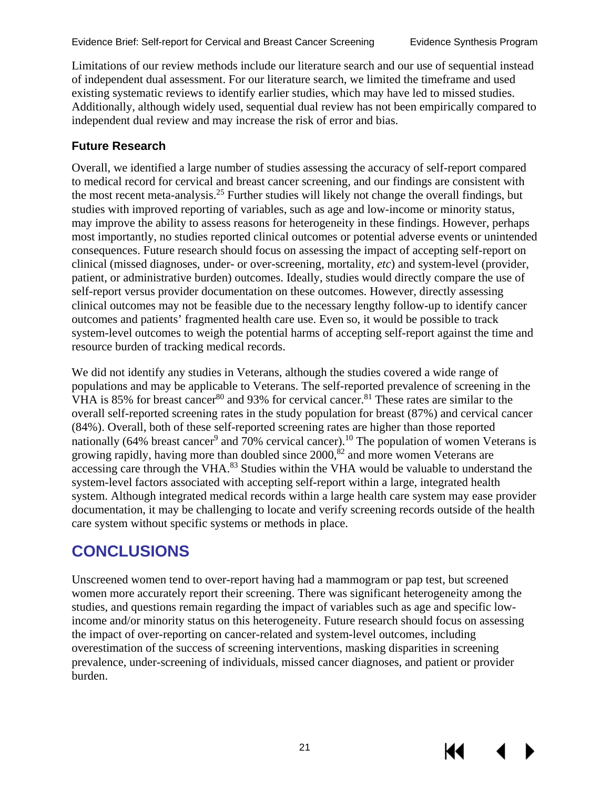Limitations of our review methods include our literature search and our use of sequential instead of independent dual assessment. For our literature search, we limited the timeframe and used existing systematic reviews to identify earlier studies, which may have led to missed studies. Additionally, although widely used, sequential dual review has not been empirically compared to independent dual review and may increase the risk of error and bias.

## <span id="page-24-0"></span>**Future Research**

Overall, we identified a large number of studies assessing the accuracy of self-report compared to medical record for cervical and breast cancer screening, and our findings are consistent with the most recent meta-analysis[.25](#page-27-4) Further studies will likely not change the overall findings, but studies with improved reporting of variables, such as age and low-income or minority status, may improve the ability to assess reasons for heterogeneity in these findings. However, perhaps most importantly, no studies reported clinical outcomes or potential adverse events or unintended consequences. Future research should focus on assessing the impact of accepting self-report on clinical (missed diagnoses, under- or over-screening, mortality, *etc*) and system-level (provider, patient, or administrative burden) outcomes. Ideally, studies would directly compare the use of self-report versus provider documentation on these outcomes. However, directly assessing clinical outcomes may not be feasible due to the necessary lengthy follow-up to identify cancer outcomes and patients' fragmented health care use. Even so, it would be possible to track system-level outcomes to weigh the potential harms of accepting self-report against the time and resource burden of tracking medical records.

We did not identify any studies in Veterans, although the studies covered a wide range of populations and may be applicable to Veterans. The self-reported prevalence of screening in the VHA is 85% for breast cancer<sup>80</sup> and 93% for cervical cancer.<sup>[81](#page-30-0)</sup> These rates are similar to the overall self-reported screening rates in the study population for breast (87%) and cervical cancer (84%). Overall, both of these self-reported screening rates are higher than those reported nationally (64% breast cancer<sup>[9](#page-26-5)</sup> and 70% cervical cancer).<sup>[10](#page-26-5)</sup> The population of women Veterans is growing rapidly, having more than doubled since  $2000$ ,<sup>82</sup> and more women Veterans are accessing care through the VHA.<sup>[83](#page-30-0)</sup> Studies within the VHA would be valuable to understand the system-level factors associated with accepting self-report within a large, integrated health system. Although integrated medical records within a large health care system may ease provider documentation, it may be challenging to locate and verify screening records outside of the health care system without specific systems or methods in place.

# <span id="page-24-1"></span>**CONCLUSIONS**

Unscreened women tend to over-report having had a mammogram or pap test, but screened women more accurately report their screening. There was significant heterogeneity among the studies, and questions remain regarding the impact of variables such as age and specific lowincome and/or minority status on this heterogeneity. Future research should focus on assessing the impact of over-reporting on cancer-related and system-level outcomes, including overestimation of the success of screening interventions, masking disparities in screening prevalence, under-screening of individuals, missed cancer diagnoses, and patient or provider burden.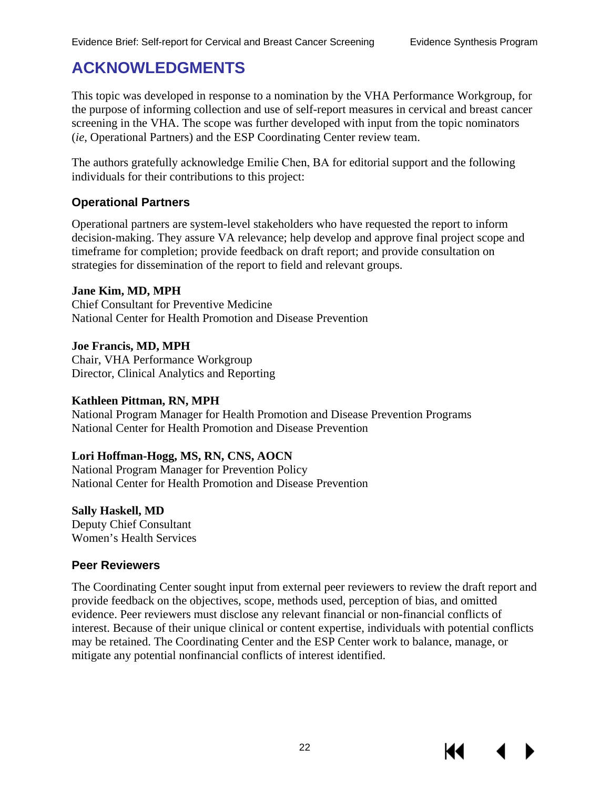# <span id="page-25-0"></span>**ACKNOWLEDGMENTS**

This topic was developed in response to a nomination by the VHA Performance Workgroup, for the purpose of informing collection and use of self-report measures in cervical and breast cancer screening in the VHA. The scope was further developed with input from the topic nominators (*ie*, Operational Partners) and the ESP Coordinating Center review team.

The authors gratefully acknowledge Emilie Chen, BA for editorial support and the following individuals for their contributions to this project:

#### <span id="page-25-1"></span>**Operational Partners**

Operational partners are system-level stakeholders who have requested the report to inform decision-making. They assure VA relevance; help develop and approve final project scope and timeframe for completion; provide feedback on draft report; and provide consultation on strategies for dissemination of the report to field and relevant groups.

#### **Jane Kim, MD, MPH**

Chief Consultant for Preventive Medicine National Center for Health Promotion and Disease Prevention

**Joe Francis, MD, MPH**  Chair, VHA Performance Workgroup Director, Clinical Analytics and Reporting

#### **Kathleen Pittman, RN, MPH**

National Program Manager for Health Promotion and Disease Prevention Programs National Center for Health Promotion and Disease Prevention

## **Lori Hoffman-Hogg, MS, RN, CNS, AOCN**

National Program Manager for Prevention Policy National Center for Health Promotion and Disease Prevention

#### **Sally Haskell, MD**

Deputy Chief Consultant Women's Health Services

#### <span id="page-25-2"></span>**Peer Reviewers**

The Coordinating Center sought input from external peer reviewers to review the draft report and provide feedback on the objectives, scope, methods used, perception of bias, and omitted evidence. Peer reviewers must disclose any relevant financial or non-financial conflicts of interest. Because of their unique clinical or content expertise, individuals with potential conflicts may be retained. The Coordinating Center and the ESP Center work to balance, manage, or mitigate any potential nonfinancial conflicts of interest identified.

К1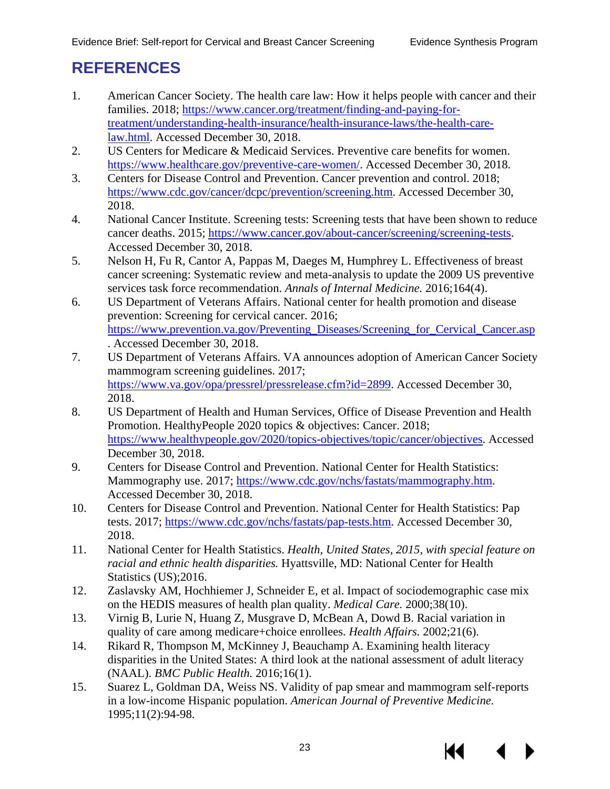# <span id="page-26-5"></span><span id="page-26-0"></span>**REFERENCES**

- <span id="page-26-1"></span>1. American Cancer Society. The health care law: How it helps people with cancer and their families. 2018; [https://www.cancer.org/treatment/finding-and-paying-for](https://www.cancer.org/treatment/finding-and-paying-for-treatment/understanding-health-insurance/health-insurance-laws/the-health-care-law.html)[treatment/understanding-health-insurance/health-insurance-laws/the-health-care](https://www.cancer.org/treatment/finding-and-paying-for-treatment/understanding-health-insurance/health-insurance-laws/the-health-care-law.html)[law.html.](https://www.cancer.org/treatment/finding-and-paying-for-treatment/understanding-health-insurance/health-insurance-laws/the-health-care-law.html) Accessed December 30, 2018.
- <span id="page-26-2"></span>2. US Centers for Medicare & Medicaid Services. Preventive care benefits for women. [https://www.healthcare.gov/preventive-care-women/.](https://www.healthcare.gov/preventive-care-women/) Accessed December 30, 2018.
- 3. Centers for Disease Control and Prevention. Cancer prevention and control. 2018; [https://www.cdc.gov/cancer/dcpc/prevention/screening.htm.](https://www.cdc.gov/cancer/dcpc/prevention/screening.htm) Accessed December 30, 2018.
- 4. National Cancer Institute. Screening tests: Screening tests that have been shown to reduce cancer deaths. 2015; [https://www.cancer.gov/about-cancer/screening/screening-tests.](https://www.cancer.gov/about-cancer/screening/screening-tests) Accessed December 30, 2018.
- 5. Nelson H, Fu R, Cantor A, Pappas M, Daeges M, Humphrey L. Effectiveness of breast cancer screening: Systematic review and meta-analysis to update the 2009 US preventive services task force recommendation. *Annals of Internal Medicine.* 2016;164(4).
- 6. US Department of Veterans Affairs. National center for health promotion and disease prevention: Screening for cervical cancer. 2016; https://www.prevention.va.gov/Preventing Diseases/Screening for Cervical Cancer.asp . Accessed December 30, 2018.
- 7. US Department of Veterans Affairs. VA announces adoption of American Cancer Society mammogram screening guidelines. 2017; [https://www.va.gov/opa/pressrel/pressrelease.cfm?id=2899.](https://www.va.gov/opa/pressrel/pressrelease.cfm?id=2899) Accessed December 30, 2018.
- 8. US Department of Health and Human Services, Office of Disease Prevention and Health Promotion. HealthyPeople 2020 topics & objectives: Cancer. 2018; [https://www.healthypeople.gov/2020/topics-objectives/topic/cancer/objectives.](https://www.healthypeople.gov/2020/topics-objectives/topic/cancer/objectives) Accessed December 30, 2018.
- 9. Centers for Disease Control and Prevention. National Center for Health Statistics: Mammography use. 2017; [https://www.cdc.gov/nchs/fastats/mammography.htm.](https://www.cdc.gov/nchs/fastats/mammography.htm) Accessed December 30, 2018.
- 10. Centers for Disease Control and Prevention. National Center for Health Statistics: Pap tests. 2017; [https://www.cdc.gov/nchs/fastats/pap-tests.htm.](https://www.cdc.gov/nchs/fastats/pap-tests.htm) Accessed December 30, 2018.
- 11. National Center for Health Statistics. *Health, United States, 2015, with special feature on racial and ethnic health disparities.* Hyattsville, MD: National Center for Health Statistics (US);2016.
- <span id="page-26-3"></span>12. Zaslavsky AM, Hochhiemer J, Schneider E, et al. Impact of sociodemographic case mix on the HEDIS measures of health plan quality. *Medical Care.* 2000;38(10).
- <span id="page-26-4"></span>13. Virnig B, Lurie N, Huang Z, Musgrave D, McBean A, Dowd B. Racial variation in quality of care among medicare+choice enrollees. *Health Affairs.* 2002;21(6).
- <span id="page-26-6"></span>14. Rikard R, Thompson M, McKinney J, Beauchamp A. Examining health literacy disparities in the United States: A third look at the national assessment of adult literacy (NAAL). *BMC Public Health.* 2016;16(1).
- <span id="page-26-7"></span>15. Suarez L, Goldman DA, Weiss NS. Validity of pap smear and mammogram self-reports in a low-income Hispanic population. *American Journal of Preventive Medicine.*  1995;11(2):94-98.

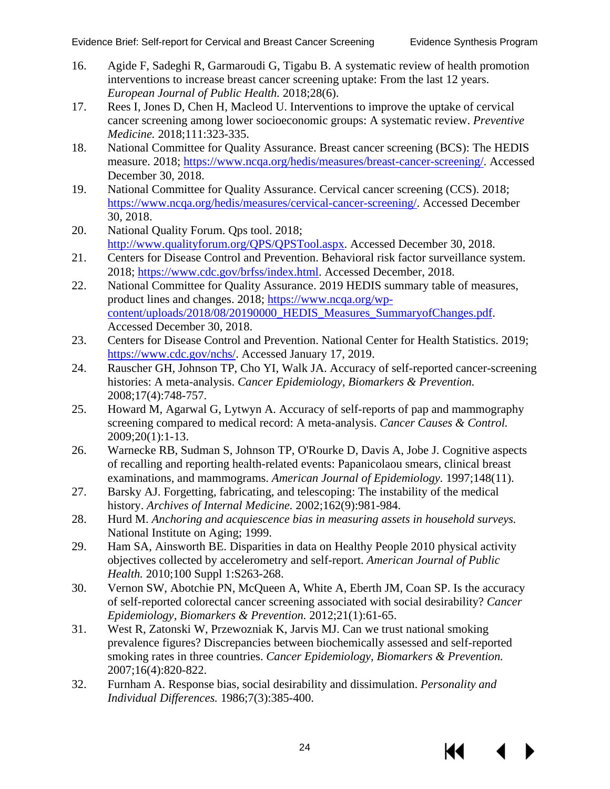- <span id="page-27-4"></span><span id="page-27-0"></span>16. Agide F, Sadeghi R, Garmaroudi G, Tigabu B. A systematic review of health promotion interventions to increase breast cancer screening uptake: From the last 12 years. *European Journal of Public Health.* 2018;28(6).
- <span id="page-27-1"></span>17. Rees I, Jones D, Chen H, Macleod U. Interventions to improve the uptake of cervical cancer screening among lower socioeconomic groups: A systematic review. *Preventive Medicine.* 2018;111:323-335.
- 18. National Committee for Quality Assurance. Breast cancer screening (BCS): The HEDIS measure. 2018; [https://www.ncqa.org/hedis/measures/breast-cancer-screening/.](https://www.ncqa.org/hedis/measures/breast-cancer-screening/) Accessed December 30, 2018.
- 19. National Committee for Quality Assurance. Cervical cancer screening (CCS). 2018; [https://www.ncqa.org/hedis/measures/cervical-cancer-screening/.](https://www.ncqa.org/hedis/measures/cervical-cancer-screening/) Accessed December 30, 2018.
- 20. National Quality Forum. Qps tool. 2018; [http://www.qualityforum.org/QPS/QPSTool.aspx.](http://www.qualityforum.org/QPS/QPSTool.aspx) Accessed December 30, 2018.
- <span id="page-27-2"></span>21. Centers for Disease Control and Prevention. Behavioral risk factor surveillance system. 2018; [https://www.cdc.gov/brfss/index.html.](https://www.cdc.gov/brfss/index.html) Accessed December, 2018.
- 22. National Committee for Quality Assurance. 2019 HEDIS summary table of measures, product lines and changes. 2018; [https://www.ncqa.org/wp](https://www.ncqa.org/wp-content/uploads/2018/08/20190000_HEDIS_Measures_SummaryofChanges.pdf)[content/uploads/2018/08/20190000\\_HEDIS\\_Measures\\_SummaryofChanges.pdf.](https://www.ncqa.org/wp-content/uploads/2018/08/20190000_HEDIS_Measures_SummaryofChanges.pdf) Accessed December 30, 2018.
- <span id="page-27-3"></span>23. Centers for Disease Control and Prevention. National Center for Health Statistics. 2019; [https://www.cdc.gov/nchs/.](https://www.cdc.gov/nchs/) Accessed January 17, 2019.
- 24. Rauscher GH, Johnson TP, Cho YI, Walk JA. Accuracy of self-reported cancer-screening histories: A meta-analysis. *Cancer Epidemiology, Biomarkers & Prevention.* 2008;17(4):748-757.
- 25. Howard M, Agarwal G, Lytwyn A. Accuracy of self-reports of pap and mammography screening compared to medical record: A meta-analysis. *Cancer Causes & Control.*  2009;20(1):1-13.
- 26. Warnecke RB, Sudman S, Johnson TP, O'Rourke D, Davis A, Jobe J. Cognitive aspects of recalling and reporting health-related events: Papanicolaou smears, clinical breast examinations, and mammograms. *American Journal of Epidemiology.* 1997;148(11).
- 27. Barsky AJ. Forgetting, fabricating, and telescoping: The instability of the medical history. *Archives of Internal Medicine.* 2002;162(9):981-984.
- 28. Hurd M. *Anchoring and acquiescence bias in measuring assets in household surveys.* National Institute on Aging; 1999.
- 29. Ham SA, Ainsworth BE. Disparities in data on Healthy People 2010 physical activity objectives collected by accelerometry and self-report. *American Journal of Public Health.* 2010;100 Suppl 1:S263-268.
- 30. Vernon SW, Abotchie PN, McQueen A, White A, Eberth JM, Coan SP. Is the accuracy of self-reported colorectal cancer screening associated with social desirability? *Cancer Epidemiology, Biomarkers & Prevention.* 2012;21(1):61-65.
- 31. West R, Zatonski W, Przewozniak K, Jarvis MJ. Can we trust national smoking prevalence figures? Discrepancies between biochemically assessed and self-reported smoking rates in three countries. *Cancer Epidemiology, Biomarkers & Prevention.*  2007;16(4):820-822.
- 32. Furnham A. Response bias, social desirability and dissimulation. *Personality and Individual Differences.* 1986;7(3):385-400.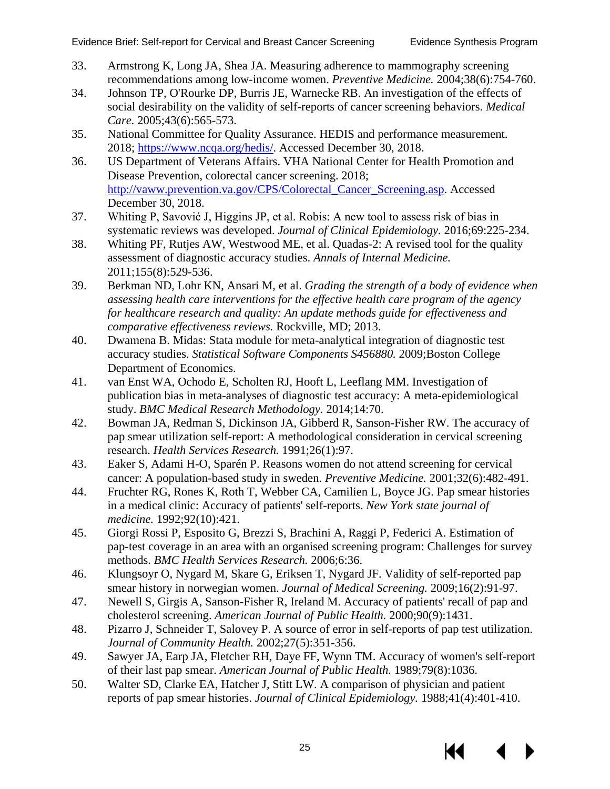- <span id="page-28-2"></span><span id="page-28-0"></span>33. Armstrong K, Long JA, Shea JA. Measuring adherence to mammography screening recommendations among low-income women. *Preventive Medicine.* 2004;38(6):754-760.
- <span id="page-28-1"></span>34. Johnson TP, O'Rourke DP, Burris JE, Warnecke RB. An investigation of the effects of social desirability on the validity of self-reports of cancer screening behaviors. *Medical Care.* 2005;43(6):565-573.
- 35. National Committee for Quality Assurance. HEDIS and performance measurement. 2018; [https://www.ncqa.org/hedis/.](https://www.ncqa.org/hedis/) Accessed December 30, 2018.
- 36. US Department of Veterans Affairs. VHA National Center for Health Promotion and Disease Prevention, colorectal cancer screening. 2018; [http://vaww.prevention.va.gov/CPS/Colorectal\\_Cancer\\_Screening.asp.](http://vaww.prevention.va.gov/CPS/Colorectal_Cancer_Screening.asp) Accessed December 30, 2018.
- 37. Whiting P, Savović J, Higgins JP, et al. Robis: A new tool to assess risk of bias in systematic reviews was developed. *Journal of Clinical Epidemiology.* 2016;69:225-234.
- 38. Whiting PF, Rutjes AW, Westwood ME, et al. Quadas-2: A revised tool for the quality assessment of diagnostic accuracy studies. *Annals of Internal Medicine.*  2011;155(8):529-536.
- 39. Berkman ND, Lohr KN, Ansari M, et al. *Grading the strength of a body of evidence when assessing health care interventions for the effective health care program of the agency for healthcare research and quality: An update methods guide for effectiveness and comparative effectiveness reviews.* Rockville, MD; 2013.
- 40. Dwamena B. Midas: Stata module for meta-analytical integration of diagnostic test accuracy studies. *Statistical Software Components S456880.* 2009;Boston College Department of Economics.
- 41. van Enst WA, Ochodo E, Scholten RJ, Hooft L, Leeflang MM. Investigation of publication bias in meta-analyses of diagnostic test accuracy: A meta-epidemiological study. *BMC Medical Research Methodology.* 2014;14:70.
- <span id="page-28-3"></span>42. Bowman JA, Redman S, Dickinson JA, Gibberd R, Sanson-Fisher RW. The accuracy of pap smear utilization self-report: A methodological consideration in cervical screening research. *Health Services Research.* 1991;26(1):97.
- 43. Eaker S, Adami H-O, Sparén P. Reasons women do not attend screening for cervical cancer: A population-based study in sweden. *Preventive Medicine.* 2001;32(6):482-491.
- 44. Fruchter RG, Rones K, Roth T, Webber CA, Camilien L, Boyce JG. Pap smear histories in a medical clinic: Accuracy of patients' self-reports. *New York state journal of medicine.* 1992;92(10):421.
- 45. Giorgi Rossi P, Esposito G, Brezzi S, Brachini A, Raggi P, Federici A. Estimation of pap-test coverage in an area with an organised screening program: Challenges for survey methods. *BMC Health Services Research.* 2006;6:36.
- 46. Klungsoyr O, Nygard M, Skare G, Eriksen T, Nygard JF. Validity of self-reported pap smear history in norwegian women. *Journal of Medical Screening.* 2009;16(2):91-97.
- 47. Newell S, Girgis A, Sanson-Fisher R, Ireland M. Accuracy of patients' recall of pap and cholesterol screening. *American Journal of Public Health.* 2000;90(9):1431.
- 48. Pizarro J, Schneider T, Salovey P. A source of error in self-reports of pap test utilization. *Journal of Community Health.* 2002;27(5):351-356.
- <span id="page-28-4"></span>49. Sawyer JA, Earp JA, Fletcher RH, Daye FF, Wynn TM. Accuracy of women's self-report of their last pap smear. *American Journal of Public Health.* 1989;79(8):1036.
- 50. Walter SD, Clarke EA, Hatcher J, Stitt LW. A comparison of physician and patient reports of pap smear histories. *Journal of Clinical Epidemiology.* 1988;41(4):401-410.

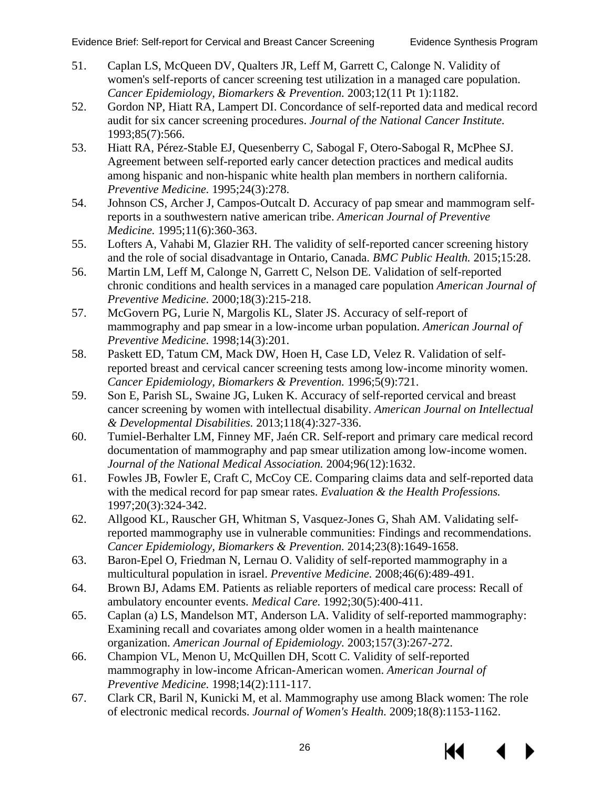- <span id="page-29-2"></span><span id="page-29-0"></span>51. Caplan LS, McQueen DV, Qualters JR, Leff M, Garrett C, Calonge N. Validity of women's self-reports of cancer screening test utilization in a managed care population. *Cancer Epidemiology, Biomarkers & Prevention.* 2003;12(11 Pt 1):1182.
- 52. Gordon NP, Hiatt RA, Lampert DI. Concordance of self-reported data and medical record audit for six cancer screening procedures. *Journal of the National Cancer Institute.*  1993;85(7):566.
- 53. Hiatt RA, Pérez-Stable EJ, Quesenberry C, Sabogal F, Otero-Sabogal R, McPhee SJ. Agreement between self-reported early cancer detection practices and medical audits among hispanic and non-hispanic white health plan members in northern california. *Preventive Medicine.* 1995;24(3):278.
- 54. Johnson CS, Archer J, Campos-Outcalt D. Accuracy of pap smear and mammogram selfreports in a southwestern native american tribe. *American Journal of Preventive Medicine.* 1995;11(6):360-363.
- 55. Lofters A, Vahabi M, Glazier RH. The validity of self-reported cancer screening history and the role of social disadvantage in Ontario, Canada. *BMC Public Health.* 2015;15:28.
- 56. Martin LM, Leff M, Calonge N, Garrett C, Nelson DE. Validation of self-reported chronic conditions and health services in a managed care population *American Journal of Preventive Medicine.* 2000;18(3):215-218.
- <span id="page-29-4"></span>57. McGovern PG, Lurie N, Margolis KL, Slater JS. Accuracy of self-report of mammography and pap smear in a low-income urban population. *American Journal of Preventive Medicine.* 1998;14(3):201.
- <span id="page-29-5"></span>58. Paskett ED, Tatum CM, Mack DW, Hoen H, Case LD, Velez R. Validation of selfreported breast and cervical cancer screening tests among low-income minority women. *Cancer Epidemiology, Biomarkers & Prevention.* 1996;5(9):721.
- 59. Son E, Parish SL, Swaine JG, Luken K. Accuracy of self-reported cervical and breast cancer screening by women with intellectual disability. *American Journal on Intellectual & Developmental Disabilities.* 2013;118(4):327-336.
- 60. Tumiel-Berhalter LM, Finney MF, Jaén CR. Self-report and primary care medical record documentation of mammography and pap smear utilization among low-income women. *Journal of the National Medical Association.* 2004;96(12):1632.
- 61. Fowles JB, Fowler E, Craft C, McCoy CE. Comparing claims data and self-reported data with the medical record for pap smear rates. *Evaluation & the Health Professions.*  1997;20(3):324-342.
- <span id="page-29-1"></span>62. Allgood KL, Rauscher GH, Whitman S, Vasquez-Jones G, Shah AM. Validating selfreported mammography use in vulnerable communities: Findings and recommendations. *Cancer Epidemiology, Biomarkers & Prevention.* 2014;23(8):1649-1658.
- 63. Baron-Epel O, Friedman N, Lernau O. Validity of self-reported mammography in a multicultural population in israel. *Preventive Medicine.* 2008;46(6):489-491.
- 64. Brown BJ, Adams EM. Patients as reliable reporters of medical care process: Recall of ambulatory encounter events. *Medical Care.* 1992;30(5):400-411.
- 65. Caplan (a) LS, Mandelson MT, Anderson LA. Validity of self-reported mammography: Examining recall and covariates among older women in a health maintenance organization. *American Journal of Epidemiology.* 2003;157(3):267-272.
- <span id="page-29-3"></span>66. Champion VL, Menon U, McQuillen DH, Scott C. Validity of self-reported mammography in low-income African-American women. *American Journal of Preventive Medicine.* 1998;14(2):111-117.
- 67. Clark CR, Baril N, Kunicki M, et al. Mammography use among Black women: The role of electronic medical records. *Journal of Women's Health.* 2009;18(8):1153-1162.